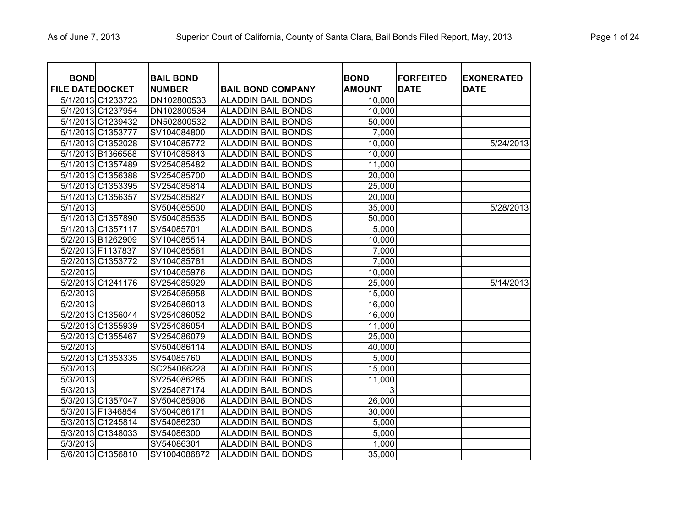| <b>BOND</b><br><b>FILE DATE DOCKET</b> |                   | <b>BAIL BOND</b><br><b>NUMBER</b> | <b>BAIL BOND COMPANY</b>  | <b>BOND</b><br><b>AMOUNT</b> | <b>FORFEITED</b><br><b>DATE</b> | <b>EXONERATED</b><br><b>DATE</b> |
|----------------------------------------|-------------------|-----------------------------------|---------------------------|------------------------------|---------------------------------|----------------------------------|
|                                        | 5/1/2013 C1233723 | DN102800533                       | <b>ALADDIN BAIL BONDS</b> | 10,000                       |                                 |                                  |
|                                        | 5/1/2013 C1237954 | DN102800534                       | <b>ALADDIN BAIL BONDS</b> | 10,000                       |                                 |                                  |
|                                        | 5/1/2013 C1239432 | DN502800532                       | <b>ALADDIN BAIL BONDS</b> | 50,000                       |                                 |                                  |
|                                        | 5/1/2013 C1353777 | SV104084800                       | <b>ALADDIN BAIL BONDS</b> | 7,000                        |                                 |                                  |
|                                        | 5/1/2013 C1352028 | SV104085772                       | <b>ALADDIN BAIL BONDS</b> | 10,000                       |                                 | 5/24/2013                        |
|                                        | 5/1/2013 B1366568 | SV104085843                       | <b>ALADDIN BAIL BONDS</b> | 10,000                       |                                 |                                  |
|                                        | 5/1/2013 C1357489 | SV254085482                       | <b>ALADDIN BAIL BONDS</b> | 11,000                       |                                 |                                  |
|                                        | 5/1/2013 C1356388 | SV254085700                       | <b>ALADDIN BAIL BONDS</b> | 20,000                       |                                 |                                  |
|                                        | 5/1/2013 C1353395 | SV254085814                       | <b>ALADDIN BAIL BONDS</b> | 25,000                       |                                 |                                  |
|                                        | 5/1/2013 C1356357 | SV254085827                       | <b>ALADDIN BAIL BONDS</b> | 20,000                       |                                 |                                  |
| 5/1/2013                               |                   | SV504085500                       | <b>ALADDIN BAIL BONDS</b> | 35,000                       |                                 | 5/28/2013                        |
|                                        | 5/1/2013 C1357890 | SV504085535                       | <b>ALADDIN BAIL BONDS</b> | 50,000                       |                                 |                                  |
|                                        | 5/1/2013 C1357117 | SV54085701                        | <b>ALADDIN BAIL BONDS</b> | 5,000                        |                                 |                                  |
|                                        | 5/2/2013 B1262909 | SV104085514                       | <b>ALADDIN BAIL BONDS</b> | 10,000                       |                                 |                                  |
|                                        | 5/2/2013 F1137837 | SV104085561                       | <b>ALADDIN BAIL BONDS</b> | 7,000                        |                                 |                                  |
|                                        | 5/2/2013 C1353772 | SV104085761                       | <b>ALADDIN BAIL BONDS</b> | 7,000                        |                                 |                                  |
| 5/2/2013                               |                   | SV104085976                       | <b>ALADDIN BAIL BONDS</b> | 10,000                       |                                 |                                  |
|                                        | 5/2/2013 C1241176 | SV254085929                       | <b>ALADDIN BAIL BONDS</b> | 25,000                       |                                 | 5/14/2013                        |
| 5/2/2013                               |                   | SV254085958                       | <b>ALADDIN BAIL BONDS</b> | 15,000                       |                                 |                                  |
| 5/2/2013                               |                   | SV254086013                       | <b>ALADDIN BAIL BONDS</b> | 16,000                       |                                 |                                  |
|                                        | 5/2/2013 C1356044 | SV254086052                       | <b>ALADDIN BAIL BONDS</b> | 16,000                       |                                 |                                  |
|                                        | 5/2/2013 C1355939 | SV254086054                       | <b>ALADDIN BAIL BONDS</b> | 11,000                       |                                 |                                  |
|                                        | 5/2/2013 C1355467 | SV254086079                       | <b>ALADDIN BAIL BONDS</b> | 25,000                       |                                 |                                  |
| 5/2/2013                               |                   | SV504086114                       | <b>ALADDIN BAIL BONDS</b> | 40,000                       |                                 |                                  |
|                                        | 5/2/2013 C1353335 | SV54085760                        | <b>ALADDIN BAIL BONDS</b> | 5,000                        |                                 |                                  |
| 5/3/2013                               |                   | SC254086228                       | <b>ALADDIN BAIL BONDS</b> | 15,000                       |                                 |                                  |
| 5/3/2013                               |                   | SV254086285                       | <b>ALADDIN BAIL BONDS</b> | 11,000                       |                                 |                                  |
| 5/3/2013                               |                   | SV254087174                       | <b>ALADDIN BAIL BONDS</b> | 3                            |                                 |                                  |
|                                        | 5/3/2013 C1357047 | SV504085906                       | <b>ALADDIN BAIL BONDS</b> | 26,000                       |                                 |                                  |
|                                        | 5/3/2013 F1346854 | SV504086171                       | <b>ALADDIN BAIL BONDS</b> | 30,000                       |                                 |                                  |
|                                        | 5/3/2013 C1245814 | SV54086230                        | <b>ALADDIN BAIL BONDS</b> | 5,000                        |                                 |                                  |
|                                        | 5/3/2013 C1348033 | SV54086300                        | <b>ALADDIN BAIL BONDS</b> | 5,000                        |                                 |                                  |
| 5/3/2013                               |                   | SV54086301                        | <b>ALADDIN BAIL BONDS</b> | 1,000                        |                                 |                                  |
|                                        | 5/6/2013 C1356810 | SV1004086872                      | <b>ALADDIN BAIL BONDS</b> | 35,000                       |                                 |                                  |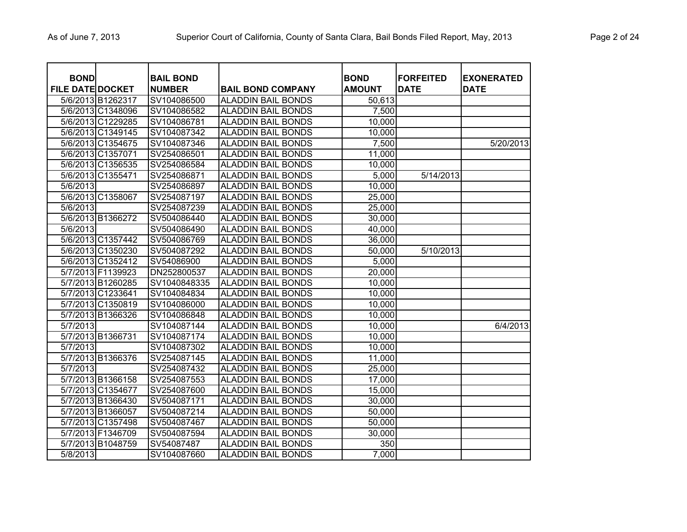| <b>BOND</b><br><b>FILE DATE DOCKET</b> |                   | <b>BAIL BOND</b><br><b>NUMBER</b> | <b>BAIL BOND COMPANY</b>  | <b>BOND</b><br><b>AMOUNT</b> | <b>FORFEITED</b><br><b>DATE</b> | <b>EXONERATED</b><br><b>DATE</b> |
|----------------------------------------|-------------------|-----------------------------------|---------------------------|------------------------------|---------------------------------|----------------------------------|
|                                        | 5/6/2013 B1262317 | SV104086500                       | <b>ALADDIN BAIL BONDS</b> | 50,613                       |                                 |                                  |
|                                        | 5/6/2013 C1348096 | SV104086582                       | <b>ALADDIN BAIL BONDS</b> | 7,500                        |                                 |                                  |
|                                        | 5/6/2013 C1229285 | SV104086781                       | <b>ALADDIN BAIL BONDS</b> | 10,000                       |                                 |                                  |
|                                        | 5/6/2013 C1349145 | SV104087342                       | <b>ALADDIN BAIL BONDS</b> | 10,000                       |                                 |                                  |
|                                        | 5/6/2013 C1354675 | SV104087346                       | <b>ALADDIN BAIL BONDS</b> | 7,500                        |                                 | 5/20/2013                        |
|                                        | 5/6/2013 C1357071 | SV254086501                       | <b>ALADDIN BAIL BONDS</b> | 11,000                       |                                 |                                  |
|                                        | 5/6/2013 C1356535 | SV254086584                       | <b>ALADDIN BAIL BONDS</b> | 10,000                       |                                 |                                  |
|                                        | 5/6/2013 C1355471 | SV254086871                       | <b>ALADDIN BAIL BONDS</b> | 5,000                        | 5/14/2013                       |                                  |
| 5/6/2013                               |                   | SV254086897                       | <b>ALADDIN BAIL BONDS</b> | 10,000                       |                                 |                                  |
|                                        | 5/6/2013 C1358067 | SV254087197                       | <b>ALADDIN BAIL BONDS</b> | 25,000                       |                                 |                                  |
| 5/6/2013                               |                   | SV254087239                       | <b>ALADDIN BAIL BONDS</b> | 25,000                       |                                 |                                  |
|                                        | 5/6/2013 B1366272 | SV504086440                       | <b>ALADDIN BAIL BONDS</b> | 30,000                       |                                 |                                  |
| 5/6/2013                               |                   | SV504086490                       | <b>ALADDIN BAIL BONDS</b> | 40,000                       |                                 |                                  |
|                                        | 5/6/2013 C1357442 | SV504086769                       | <b>ALADDIN BAIL BONDS</b> | 36,000                       |                                 |                                  |
|                                        | 5/6/2013 C1350230 | SV504087292                       | <b>ALADDIN BAIL BONDS</b> | 50,000                       | 5/10/2013                       |                                  |
|                                        | 5/6/2013 C1352412 | SV54086900                        | <b>ALADDIN BAIL BONDS</b> | 5,000                        |                                 |                                  |
|                                        | 5/7/2013 F1139923 | DN252800537                       | <b>ALADDIN BAIL BONDS</b> | 20,000                       |                                 |                                  |
|                                        | 5/7/2013 B1260285 | SV1040848335                      | <b>ALADDIN BAIL BONDS</b> | 10,000                       |                                 |                                  |
|                                        | 5/7/2013 C1233641 | SV104084834                       | <b>ALADDIN BAIL BONDS</b> | 10,000                       |                                 |                                  |
|                                        | 5/7/2013 C1350819 | SV104086000                       | <b>ALADDIN BAIL BONDS</b> | 10,000                       |                                 |                                  |
|                                        | 5/7/2013 B1366326 | SV104086848                       | <b>ALADDIN BAIL BONDS</b> | 10,000                       |                                 |                                  |
| 5/7/2013                               |                   | SV104087144                       | <b>ALADDIN BAIL BONDS</b> | 10,000                       |                                 | 6/4/2013                         |
|                                        | 5/7/2013 B1366731 | SV104087174                       | <b>ALADDIN BAIL BONDS</b> | 10,000                       |                                 |                                  |
| 5/7/2013                               |                   | SV104087302                       | <b>ALADDIN BAIL BONDS</b> | 10,000                       |                                 |                                  |
|                                        | 5/7/2013 B1366376 | SV254087145                       | <b>ALADDIN BAIL BONDS</b> | 11,000                       |                                 |                                  |
| 5/7/2013                               |                   | SV254087432                       | <b>ALADDIN BAIL BONDS</b> | 25,000                       |                                 |                                  |
|                                        | 5/7/2013 B1366158 | SV254087553                       | <b>ALADDIN BAIL BONDS</b> | 17,000                       |                                 |                                  |
|                                        | 5/7/2013 C1354677 | SV254087600                       | <b>ALADDIN BAIL BONDS</b> | 15,000                       |                                 |                                  |
|                                        | 5/7/2013 B1366430 | SV504087171                       | <b>ALADDIN BAIL BONDS</b> | 30,000                       |                                 |                                  |
|                                        | 5/7/2013 B1366057 | SV504087214                       | <b>ALADDIN BAIL BONDS</b> | 50,000                       |                                 |                                  |
|                                        | 5/7/2013 C1357498 | SV504087467                       | <b>ALADDIN BAIL BONDS</b> | 50,000                       |                                 |                                  |
|                                        | 5/7/2013 F1346709 | SV504087594                       | <b>ALADDIN BAIL BONDS</b> | 30,000                       |                                 |                                  |
|                                        | 5/7/2013 B1048759 | SV54087487                        | <b>ALADDIN BAIL BONDS</b> | 350                          |                                 |                                  |
| 5/8/2013                               |                   | SV104087660                       | <b>ALADDIN BAIL BONDS</b> | 7,000                        |                                 |                                  |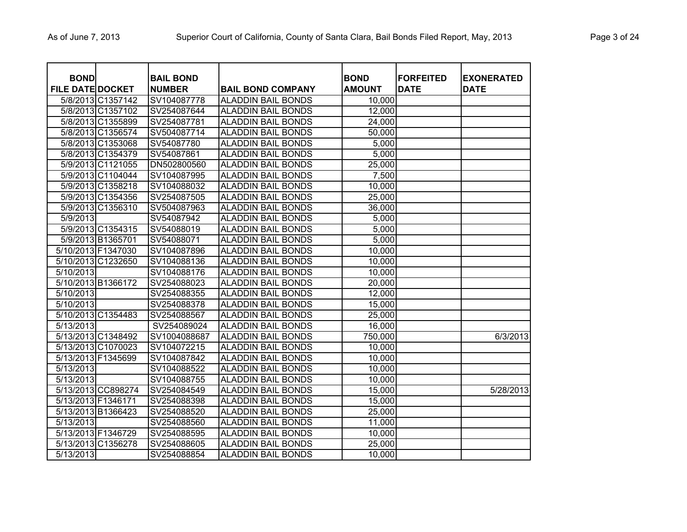| <b>BOND</b>             |                    | <b>BAIL BOND</b> |                           | <b>BOND</b>   | <b>FORFEITED</b> | <b>EXONERATED</b> |
|-------------------------|--------------------|------------------|---------------------------|---------------|------------------|-------------------|
| <b>FILE DATE DOCKET</b> |                    | <b>NUMBER</b>    | <b>BAIL BOND COMPANY</b>  | <b>AMOUNT</b> | <b>DATE</b>      | <b>DATE</b>       |
|                         | 5/8/2013 C1357142  | SV104087778      | <b>ALADDIN BAIL BONDS</b> | 10,000        |                  |                   |
|                         | 5/8/2013 C1357102  | SV254087644      | <b>ALADDIN BAIL BONDS</b> | 12,000        |                  |                   |
|                         | 5/8/2013 C1355899  | SV254087781      | <b>ALADDIN BAIL BONDS</b> | 24,000        |                  |                   |
|                         | 5/8/2013 C1356574  | SV504087714      | <b>ALADDIN BAIL BONDS</b> | 50,000        |                  |                   |
|                         | 5/8/2013 C1353068  | SV54087780       | <b>ALADDIN BAIL BONDS</b> | 5,000         |                  |                   |
|                         | 5/8/2013 C1354379  | SV54087861       | <b>ALADDIN BAIL BONDS</b> | 5,000         |                  |                   |
|                         | 5/9/2013 C1121055  | DN502800560      | <b>ALADDIN BAIL BONDS</b> | 25,000        |                  |                   |
|                         | 5/9/2013 C1104044  | SV104087995      | <b>ALADDIN BAIL BONDS</b> | 7,500         |                  |                   |
|                         | 5/9/2013 C1358218  | SV104088032      | <b>ALADDIN BAIL BONDS</b> | 10,000        |                  |                   |
|                         | 5/9/2013 C1354356  | SV254087505      | <b>ALADDIN BAIL BONDS</b> | 25,000        |                  |                   |
|                         | 5/9/2013 C1356310  | SV504087963      | <b>ALADDIN BAIL BONDS</b> | 36,000        |                  |                   |
| 5/9/2013                |                    | SV54087942       | <b>ALADDIN BAIL BONDS</b> | 5,000         |                  |                   |
|                         | 5/9/2013 C1354315  | SV54088019       | <b>ALADDIN BAIL BONDS</b> | 5,000         |                  |                   |
|                         | 5/9/2013 B1365701  | SV54088071       | <b>ALADDIN BAIL BONDS</b> | 5,000         |                  |                   |
| 5/10/2013 F1347030      |                    | SV104087896      | <b>ALADDIN BAIL BONDS</b> | 10,000        |                  |                   |
| 5/10/2013 C1232650      |                    | SV104088136      | <b>ALADDIN BAIL BONDS</b> | 10,000        |                  |                   |
| 5/10/2013               |                    | SV104088176      | <b>ALADDIN BAIL BONDS</b> | 10,000        |                  |                   |
| 5/10/2013 B1366172      |                    | SV254088023      | <b>ALADDIN BAIL BONDS</b> | 20,000        |                  |                   |
| 5/10/2013               |                    | SV254088355      | <b>ALADDIN BAIL BONDS</b> | 12,000        |                  |                   |
| 5/10/2013               |                    | SV254088378      | <b>ALADDIN BAIL BONDS</b> | 15,000        |                  |                   |
| 5/10/2013 C1354483      |                    | SV254088567      | <b>ALADDIN BAIL BONDS</b> | 25,000        |                  |                   |
| 5/13/2013               |                    | SV254089024      | <b>ALADDIN BAIL BONDS</b> | 16,000        |                  |                   |
| 5/13/2013 C1348492      |                    | SV1004088687     | <b>ALADDIN BAIL BONDS</b> | 750,000       |                  | 6/3/2013          |
|                         | 5/13/2013 C1070023 | SV104072215      | <b>ALADDIN BAIL BONDS</b> | 10,000        |                  |                   |
| 5/13/2013 F1345699      |                    | SV104087842      | <b>ALADDIN BAIL BONDS</b> | 10,000        |                  |                   |
| 5/13/2013               |                    | SV104088522      | <b>ALADDIN BAIL BONDS</b> | 10,000        |                  |                   |
| 5/13/2013               |                    | SV104088755      | <b>ALADDIN BAIL BONDS</b> | 10,000        |                  |                   |
|                         | 5/13/2013 CC898274 | SV254084549      | <b>ALADDIN BAIL BONDS</b> | 15,000        |                  | 5/28/2013         |
| 5/13/2013 F1346171      |                    | SV254088398      | <b>ALADDIN BAIL BONDS</b> | 15,000        |                  |                   |
| 5/13/2013 B1366423      |                    | SV254088520      | <b>ALADDIN BAIL BONDS</b> | 25,000        |                  |                   |
| 5/13/2013               |                    | SV254088560      | <b>ALADDIN BAIL BONDS</b> | 11,000        |                  |                   |
| 5/13/2013 F1346729      |                    | SV254088595      | <b>ALADDIN BAIL BONDS</b> | 10,000        |                  |                   |
| 5/13/2013 C1356278      |                    | SV254088605      | <b>ALADDIN BAIL BONDS</b> | 25,000        |                  |                   |
| 5/13/2013               |                    | SV254088854      | <b>ALADDIN BAIL BONDS</b> | 10,000        |                  |                   |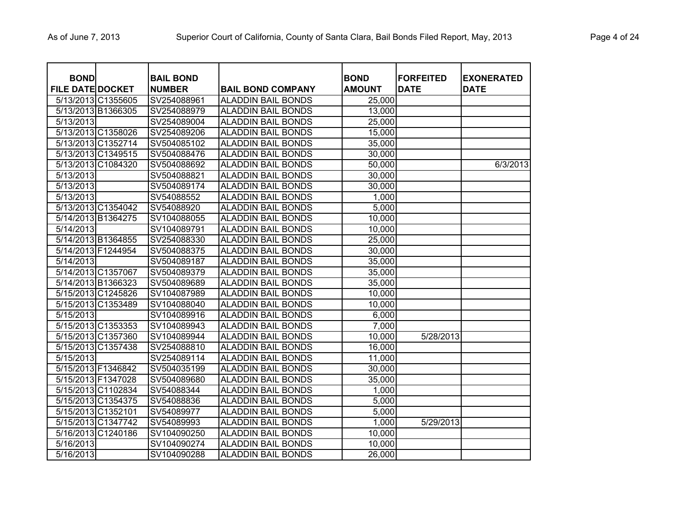| <b>BOND</b><br><b>FILE DATE DOCKET</b> |                    | <b>BAIL BOND</b><br><b>NUMBER</b> | <b>BAIL BOND COMPANY</b>  | <b>BOND</b><br><b>AMOUNT</b> | <b>FORFEITED</b><br><b>DATE</b> | <b>EXONERATED</b><br><b>DATE</b> |
|----------------------------------------|--------------------|-----------------------------------|---------------------------|------------------------------|---------------------------------|----------------------------------|
| 5/13/2013 C1355605                     |                    | SV254088961                       | <b>ALADDIN BAIL BONDS</b> | 25,000                       |                                 |                                  |
| 5/13/2013 B1366305                     |                    | SV254088979                       | <b>ALADDIN BAIL BONDS</b> | 13,000                       |                                 |                                  |
| 5/13/2013                              |                    | SV254089004                       | <b>ALADDIN BAIL BONDS</b> | 25,000                       |                                 |                                  |
| 5/13/2013 C1358026                     |                    | SV254089206                       | <b>ALADDIN BAIL BONDS</b> | 15,000                       |                                 |                                  |
|                                        | 5/13/2013 C1352714 | SV504085102                       | <b>ALADDIN BAIL BONDS</b> | 35,000                       |                                 |                                  |
| 5/13/2013 C1349515                     |                    | SV504088476                       | <b>ALADDIN BAIL BONDS</b> | 30,000                       |                                 |                                  |
|                                        | 5/13/2013 C1084320 | SV504088692                       | <b>ALADDIN BAIL BONDS</b> | 50,000                       |                                 | 6/3/2013                         |
| 5/13/2013                              |                    | SV504088821                       | <b>ALADDIN BAIL BONDS</b> | 30,000                       |                                 |                                  |
| 5/13/2013                              |                    | SV504089174                       | <b>ALADDIN BAIL BONDS</b> | 30,000                       |                                 |                                  |
| 5/13/2013                              |                    | SV54088552                        | <b>ALADDIN BAIL BONDS</b> | 1,000                        |                                 |                                  |
| 5/13/2013 C1354042                     |                    | SV54088920                        | <b>ALADDIN BAIL BONDS</b> | 5,000                        |                                 |                                  |
| 5/14/2013 B1364275                     |                    | SV104088055                       | <b>ALADDIN BAIL BONDS</b> | 10,000                       |                                 |                                  |
| 5/14/2013                              |                    | SV104089791                       | <b>ALADDIN BAIL BONDS</b> | 10,000                       |                                 |                                  |
| 5/14/2013 B1364855                     |                    | SV254088330                       | <b>ALADDIN BAIL BONDS</b> | 25,000                       |                                 |                                  |
| 5/14/2013 F1244954                     |                    | SV504088375                       | <b>ALADDIN BAIL BONDS</b> | 30,000                       |                                 |                                  |
| 5/14/2013                              |                    | SV504089187                       | <b>ALADDIN BAIL BONDS</b> | 35,000                       |                                 |                                  |
| 5/14/2013 C1357067                     |                    | SV504089379                       | <b>ALADDIN BAIL BONDS</b> | 35,000                       |                                 |                                  |
| 5/14/2013 B1366323                     |                    | SV504089689                       | <b>ALADDIN BAIL BONDS</b> | 35,000                       |                                 |                                  |
| 5/15/2013 C1245826                     |                    | SV104087989                       | <b>ALADDIN BAIL BONDS</b> | 10,000                       |                                 |                                  |
| 5/15/2013 C1353489                     |                    | SV104088040                       | <b>ALADDIN BAIL BONDS</b> | 10,000                       |                                 |                                  |
| 5/15/2013                              |                    | SV104089916                       | <b>ALADDIN BAIL BONDS</b> | 6,000                        |                                 |                                  |
| 5/15/2013 C1353353                     |                    | SV104089943                       | <b>ALADDIN BAIL BONDS</b> | 7,000                        |                                 |                                  |
|                                        | 5/15/2013 C1357360 | SV104089944                       | <b>ALADDIN BAIL BONDS</b> | 10,000                       | 5/28/2013                       |                                  |
| 5/15/2013 C1357438                     |                    | SV254088810                       | <b>ALADDIN BAIL BONDS</b> | 16,000                       |                                 |                                  |
| 5/15/2013                              |                    | SV254089114                       | <b>ALADDIN BAIL BONDS</b> | 11,000                       |                                 |                                  |
| 5/15/2013 F1346842                     |                    | SV504035199                       | <b>ALADDIN BAIL BONDS</b> | 30,000                       |                                 |                                  |
| 5/15/2013 F1347028                     |                    | SV504089680                       | <b>ALADDIN BAIL BONDS</b> | 35,000                       |                                 |                                  |
| 5/15/2013 C1102834                     |                    | SV54088344                        | <b>ALADDIN BAIL BONDS</b> | 1,000                        |                                 |                                  |
| 5/15/2013 C1354375                     |                    | SV54088836                        | <b>ALADDIN BAIL BONDS</b> | 5,000                        |                                 |                                  |
| 5/15/2013 C1352101                     |                    | SV54089977                        | <b>ALADDIN BAIL BONDS</b> | 5,000                        |                                 |                                  |
| 5/15/2013 C1347742                     |                    | SV54089993                        | <b>ALADDIN BAIL BONDS</b> | 1,000                        | 5/29/2013                       |                                  |
| 5/16/2013 C1240186                     |                    | SV104090250                       | <b>ALADDIN BAIL BONDS</b> | 10,000                       |                                 |                                  |
| 5/16/2013                              |                    | SV104090274                       | <b>ALADDIN BAIL BONDS</b> | 10,000                       |                                 |                                  |
| 5/16/2013                              |                    | SV104090288                       | <b>ALADDIN BAIL BONDS</b> | 26,000                       |                                 |                                  |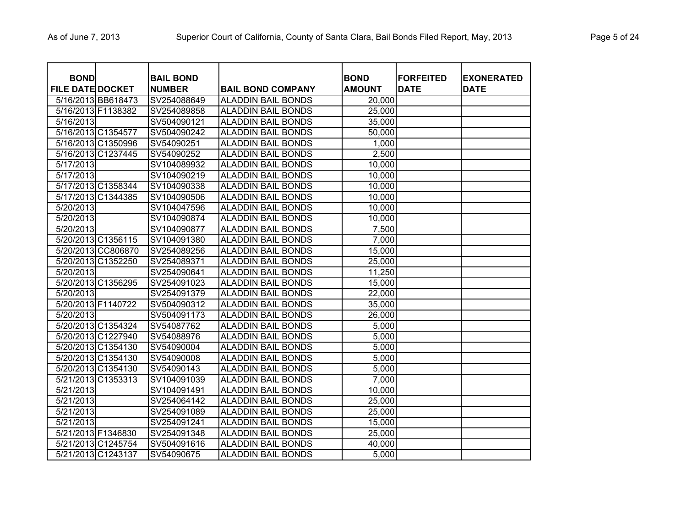| <b>BOND</b><br><b>FILE DATE DOCKET</b> |                    | <b>BAIL BOND</b><br><b>NUMBER</b> | <b>BAIL BOND COMPANY</b>  | <b>BOND</b><br><b>AMOUNT</b> | <b>FORFEITED</b><br><b>DATE</b> | <b>EXONERATED</b><br><b>DATE</b> |
|----------------------------------------|--------------------|-----------------------------------|---------------------------|------------------------------|---------------------------------|----------------------------------|
|                                        | 5/16/2013 BB618473 | SV254088649                       | <b>ALADDIN BAIL BONDS</b> | 20,000                       |                                 |                                  |
| 5/16/2013 F1138382                     |                    | SV254089858                       | <b>ALADDIN BAIL BONDS</b> | 25,000                       |                                 |                                  |
| 5/16/2013                              |                    | SV504090121                       | <b>ALADDIN BAIL BONDS</b> | 35,000                       |                                 |                                  |
| 5/16/2013 C1354577                     |                    | SV504090242                       | <b>ALADDIN BAIL BONDS</b> | 50,000                       |                                 |                                  |
| 5/16/2013 C1350996                     |                    | SV54090251                        | <b>ALADDIN BAIL BONDS</b> | 1,000                        |                                 |                                  |
| 5/16/2013 C1237445                     |                    | SV54090252                        | <b>ALADDIN BAIL BONDS</b> | 2,500                        |                                 |                                  |
| 5/17/2013                              |                    | SV104089932                       | <b>ALADDIN BAIL BONDS</b> | 10,000                       |                                 |                                  |
| 5/17/2013                              |                    | SV104090219                       | <b>ALADDIN BAIL BONDS</b> | 10,000                       |                                 |                                  |
|                                        | 5/17/2013 C1358344 | SV104090338                       | <b>ALADDIN BAIL BONDS</b> | 10,000                       |                                 |                                  |
|                                        | 5/17/2013 C1344385 | SV104090506                       | <b>ALADDIN BAIL BONDS</b> | 10,000                       |                                 |                                  |
| 5/20/2013                              |                    | SV104047596                       | <b>ALADDIN BAIL BONDS</b> | 10,000                       |                                 |                                  |
| 5/20/2013                              |                    | SV104090874                       | <b>ALADDIN BAIL BONDS</b> | 10,000                       |                                 |                                  |
| 5/20/2013                              |                    | SV104090877                       | <b>ALADDIN BAIL BONDS</b> | 7,500                        |                                 |                                  |
| 5/20/2013 C1356115                     |                    | SV104091380                       | <b>ALADDIN BAIL BONDS</b> | 7,000                        |                                 |                                  |
|                                        | 5/20/2013 CC806870 | SV254089256                       | <b>ALADDIN BAIL BONDS</b> | 15,000                       |                                 |                                  |
| 5/20/2013 C1352250                     |                    | SV254089371                       | <b>ALADDIN BAIL BONDS</b> | 25,000                       |                                 |                                  |
| 5/20/2013                              |                    | SV254090641                       | <b>ALADDIN BAIL BONDS</b> | 11,250                       |                                 |                                  |
| 5/20/2013 C1356295                     |                    | SV254091023                       | <b>ALADDIN BAIL BONDS</b> | 15,000                       |                                 |                                  |
| 5/20/2013                              |                    | SV254091379                       | <b>ALADDIN BAIL BONDS</b> | 22,000                       |                                 |                                  |
| 5/20/2013 F1140722                     |                    | SV504090312                       | <b>ALADDIN BAIL BONDS</b> | 35,000                       |                                 |                                  |
| 5/20/2013                              |                    | SV504091173                       | <b>ALADDIN BAIL BONDS</b> | 26,000                       |                                 |                                  |
|                                        | 5/20/2013 C1354324 | SV54087762                        | <b>ALADDIN BAIL BONDS</b> | 5,000                        |                                 |                                  |
|                                        | 5/20/2013 C1227940 | SV54088976                        | <b>ALADDIN BAIL BONDS</b> | 5,000                        |                                 |                                  |
|                                        | 5/20/2013 C1354130 | SV54090004                        | <b>ALADDIN BAIL BONDS</b> | 5,000                        |                                 |                                  |
|                                        | 5/20/2013 C1354130 | SV54090008                        | <b>ALADDIN BAIL BONDS</b> | 5,000                        |                                 |                                  |
| 5/20/2013 C1354130                     |                    | SV54090143                        | <b>ALADDIN BAIL BONDS</b> | 5,000                        |                                 |                                  |
| 5/21/2013 C1353313                     |                    | SV104091039                       | <b>ALADDIN BAIL BONDS</b> | 7,000                        |                                 |                                  |
| 5/21/2013                              |                    | SV104091491                       | <b>ALADDIN BAIL BONDS</b> | 10,000                       |                                 |                                  |
| 5/21/2013                              |                    | SV254064142                       | <b>ALADDIN BAIL BONDS</b> | 25,000                       |                                 |                                  |
| 5/21/2013                              |                    | SV254091089                       | <b>ALADDIN BAIL BONDS</b> | 25,000                       |                                 |                                  |
| 5/21/2013                              |                    | SV254091241                       | <b>ALADDIN BAIL BONDS</b> | 15,000                       |                                 |                                  |
| 5/21/2013 F1346830                     |                    | SV254091348                       | <b>ALADDIN BAIL BONDS</b> | 25,000                       |                                 |                                  |
| 5/21/2013 C1245754                     |                    | SV504091616                       | <b>ALADDIN BAIL BONDS</b> | 40,000                       |                                 |                                  |
| 5/21/2013 C1243137                     |                    | SV54090675                        | <b>ALADDIN BAIL BONDS</b> | 5,000                        |                                 |                                  |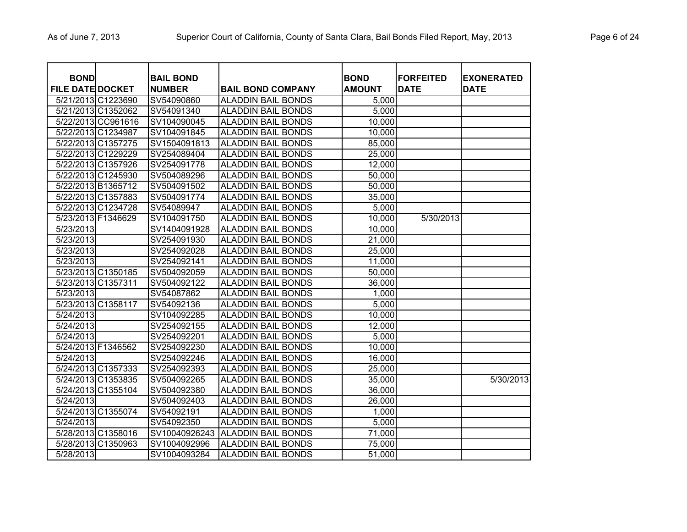| <b>BOND</b><br><b>FILE DATE DOCKET</b> |                    | <b>BAIL BOND</b><br><b>NUMBER</b> | <b>BAIL BOND COMPANY</b>  | <b>BOND</b><br><b>AMOUNT</b> | <b>FORFEITED</b><br><b>DATE</b> | <b>EXONERATED</b><br><b>DATE</b> |
|----------------------------------------|--------------------|-----------------------------------|---------------------------|------------------------------|---------------------------------|----------------------------------|
|                                        | 5/21/2013 C1223690 | SV54090860                        | <b>ALADDIN BAIL BONDS</b> | 5,000                        |                                 |                                  |
|                                        | 5/21/2013 C1352062 | SV54091340                        | <b>ALADDIN BAIL BONDS</b> | 5,000                        |                                 |                                  |
|                                        | 5/22/2013 CC961616 | SV104090045                       | <b>ALADDIN BAIL BONDS</b> | 10,000                       |                                 |                                  |
|                                        | 5/22/2013 C1234987 | SV104091845                       | <b>ALADDIN BAIL BONDS</b> | 10,000                       |                                 |                                  |
|                                        | 5/22/2013 C1357275 | SV1504091813                      | <b>ALADDIN BAIL BONDS</b> | 85,000                       |                                 |                                  |
|                                        | 5/22/2013 C1229229 | SV254089404                       | <b>ALADDIN BAIL BONDS</b> | 25,000                       |                                 |                                  |
|                                        | 5/22/2013 C1357926 | SV254091778                       | <b>ALADDIN BAIL BONDS</b> | 12,000                       |                                 |                                  |
|                                        | 5/22/2013 C1245930 | SV504089296                       | <b>ALADDIN BAIL BONDS</b> | 50,000                       |                                 |                                  |
|                                        | 5/22/2013 B1365712 | SV504091502                       | <b>ALADDIN BAIL BONDS</b> | 50,000                       |                                 |                                  |
|                                        | 5/22/2013 C1357883 | SV504091774                       | <b>ALADDIN BAIL BONDS</b> | 35,000                       |                                 |                                  |
|                                        | 5/22/2013 C1234728 | SV54089947                        | <b>ALADDIN BAIL BONDS</b> | 5,000                        |                                 |                                  |
| 5/23/2013 F1346629                     |                    | SV104091750                       | <b>ALADDIN BAIL BONDS</b> | 10,000                       | 5/30/2013                       |                                  |
| 5/23/2013                              |                    | SV1404091928                      | <b>ALADDIN BAIL BONDS</b> | 10,000                       |                                 |                                  |
| 5/23/2013                              |                    | SV254091930                       | <b>ALADDIN BAIL BONDS</b> | 21,000                       |                                 |                                  |
| 5/23/2013                              |                    | SV254092028                       | <b>ALADDIN BAIL BONDS</b> | 25,000                       |                                 |                                  |
| 5/23/2013                              |                    | SV254092141                       | <b>ALADDIN BAIL BONDS</b> | 11,000                       |                                 |                                  |
|                                        | 5/23/2013 C1350185 | SV504092059                       | <b>ALADDIN BAIL BONDS</b> | 50,000                       |                                 |                                  |
| 5/23/2013 C1357311                     |                    | SV504092122                       | <b>ALADDIN BAIL BONDS</b> | 36,000                       |                                 |                                  |
| 5/23/2013                              |                    | SV54087862                        | <b>ALADDIN BAIL BONDS</b> | 1,000                        |                                 |                                  |
|                                        | 5/23/2013 C1358117 | SV54092136                        | <b>ALADDIN BAIL BONDS</b> | 5,000                        |                                 |                                  |
| 5/24/2013                              |                    | SV104092285                       | <b>ALADDIN BAIL BONDS</b> | 10,000                       |                                 |                                  |
| 5/24/2013                              |                    | SV254092155                       | <b>ALADDIN BAIL BONDS</b> | 12,000                       |                                 |                                  |
| 5/24/2013                              |                    | SV254092201                       | <b>ALADDIN BAIL BONDS</b> | 5,000                        |                                 |                                  |
| 5/24/2013 F1346562                     |                    | SV254092230                       | <b>ALADDIN BAIL BONDS</b> | 10,000                       |                                 |                                  |
| 5/24/2013                              |                    | SV254092246                       | <b>ALADDIN BAIL BONDS</b> | 16,000                       |                                 |                                  |
|                                        | 5/24/2013 C1357333 | SV254092393                       | <b>ALADDIN BAIL BONDS</b> | 25,000                       |                                 |                                  |
|                                        | 5/24/2013 C1353835 | SV504092265                       | <b>ALADDIN BAIL BONDS</b> | 35,000                       |                                 | 5/30/2013                        |
|                                        | 5/24/2013 C1355104 | SV504092380                       | <b>ALADDIN BAIL BONDS</b> | 36,000                       |                                 |                                  |
| 5/24/2013                              |                    | SV504092403                       | <b>ALADDIN BAIL BONDS</b> | 26,000                       |                                 |                                  |
|                                        | 5/24/2013 C1355074 | SV54092191                        | <b>ALADDIN BAIL BONDS</b> | 1,000                        |                                 |                                  |
| 5/24/2013                              |                    | SV54092350                        | <b>ALADDIN BAIL BONDS</b> | 5,000                        |                                 |                                  |
|                                        | 5/28/2013 C1358016 | SV10040926243                     | <b>ALADDIN BAIL BONDS</b> | 71,000                       |                                 |                                  |
|                                        | 5/28/2013 C1350963 | SV1004092996                      | <b>ALADDIN BAIL BONDS</b> | 75,000                       |                                 |                                  |
| 5/28/2013                              |                    | SV1004093284                      | <b>ALADDIN BAIL BONDS</b> | 51,000                       |                                 |                                  |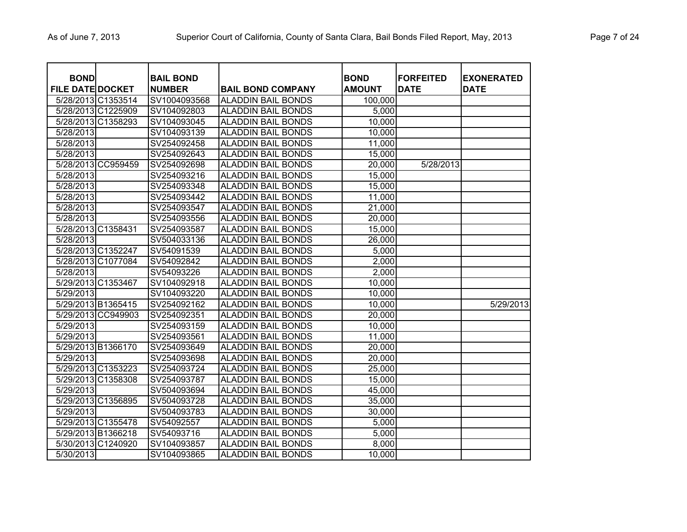| <b>BOND</b><br><b>FILE DATE DOCKET</b> |                    | <b>BAIL BOND</b><br><b>NUMBER</b> | <b>BAIL BOND COMPANY</b>  | <b>BOND</b><br><b>AMOUNT</b> | <b>FORFEITED</b><br><b>DATE</b> | <b>EXONERATED</b><br><b>DATE</b> |
|----------------------------------------|--------------------|-----------------------------------|---------------------------|------------------------------|---------------------------------|----------------------------------|
|                                        | 5/28/2013 C1353514 | SV1004093568                      | <b>ALADDIN BAIL BONDS</b> | 100,000                      |                                 |                                  |
| 5/28/2013 C1225909                     |                    | SV104092803                       | <b>ALADDIN BAIL BONDS</b> | 5,000                        |                                 |                                  |
|                                        | 5/28/2013 C1358293 | SV104093045                       | <b>ALADDIN BAIL BONDS</b> | 10,000                       |                                 |                                  |
| 5/28/2013                              |                    | SV104093139                       | <b>ALADDIN BAIL BONDS</b> | 10,000                       |                                 |                                  |
| 5/28/2013                              |                    | SV254092458                       | <b>ALADDIN BAIL BONDS</b> | 11,000                       |                                 |                                  |
| 5/28/2013                              |                    | SV254092643                       | <b>ALADDIN BAIL BONDS</b> | 15,000                       |                                 |                                  |
|                                        | 5/28/2013 CC959459 | SV254092698                       | <b>ALADDIN BAIL BONDS</b> | 20,000                       | 5/28/2013                       |                                  |
| 5/28/2013                              |                    | SV254093216                       | <b>ALADDIN BAIL BONDS</b> | 15,000                       |                                 |                                  |
| 5/28/2013                              |                    | SV254093348                       | <b>ALADDIN BAIL BONDS</b> | 15,000                       |                                 |                                  |
| 5/28/2013                              |                    | SV254093442                       | <b>ALADDIN BAIL BONDS</b> | 11,000                       |                                 |                                  |
| 5/28/2013                              |                    | SV254093547                       | <b>ALADDIN BAIL BONDS</b> | 21,000                       |                                 |                                  |
| 5/28/2013                              |                    | SV254093556                       | <b>ALADDIN BAIL BONDS</b> | 20,000                       |                                 |                                  |
| 5/28/2013 C1358431                     |                    | SV254093587                       | <b>ALADDIN BAIL BONDS</b> | 15,000                       |                                 |                                  |
| 5/28/2013                              |                    | SV504033136                       | <b>ALADDIN BAIL BONDS</b> | 26,000                       |                                 |                                  |
|                                        | 5/28/2013 C1352247 | SV54091539                        | <b>ALADDIN BAIL BONDS</b> | 5,000                        |                                 |                                  |
|                                        | 5/28/2013 C1077084 | SV54092842                        | <b>ALADDIN BAIL BONDS</b> | 2,000                        |                                 |                                  |
| 5/28/2013                              |                    | SV54093226                        | <b>ALADDIN BAIL BONDS</b> | 2,000                        |                                 |                                  |
| 5/29/2013 C1353467                     |                    | SV104092918                       | <b>ALADDIN BAIL BONDS</b> | 10,000                       |                                 |                                  |
| 5/29/2013                              |                    | SV104093220                       | <b>ALADDIN BAIL BONDS</b> | 10,000                       |                                 |                                  |
|                                        | 5/29/2013 B1365415 | SV254092162                       | <b>ALADDIN BAIL BONDS</b> | 10,000                       |                                 | 5/29/2013                        |
|                                        | 5/29/2013 CC949903 | SV254092351                       | <b>ALADDIN BAIL BONDS</b> | 20,000                       |                                 |                                  |
| 5/29/2013                              |                    | SV254093159                       | <b>ALADDIN BAIL BONDS</b> | 10,000                       |                                 |                                  |
| 5/29/2013                              |                    | SV254093561                       | <b>ALADDIN BAIL BONDS</b> | 11,000                       |                                 |                                  |
|                                        | 5/29/2013 B1366170 | SV254093649                       | <b>ALADDIN BAIL BONDS</b> | 20,000                       |                                 |                                  |
| 5/29/2013                              |                    | SV254093698                       | <b>ALADDIN BAIL BONDS</b> | 20,000                       |                                 |                                  |
|                                        | 5/29/2013 C1353223 | SV254093724                       | <b>ALADDIN BAIL BONDS</b> | 25,000                       |                                 |                                  |
|                                        | 5/29/2013 C1358308 | SV254093787                       | <b>ALADDIN BAIL BONDS</b> | 15,000                       |                                 |                                  |
| 5/29/2013                              |                    | SV504093694                       | <b>ALADDIN BAIL BONDS</b> | 45,000                       |                                 |                                  |
|                                        | 5/29/2013 C1356895 | SV504093728                       | <b>ALADDIN BAIL BONDS</b> | 35,000                       |                                 |                                  |
| 5/29/2013                              |                    | SV504093783                       | <b>ALADDIN BAIL BONDS</b> | 30,000                       |                                 |                                  |
|                                        | 5/29/2013 C1355478 | SV54092557                        | <b>ALADDIN BAIL BONDS</b> | 5,000                        |                                 |                                  |
|                                        | 5/29/2013 B1366218 | SV54093716                        | <b>ALADDIN BAIL BONDS</b> | 5,000                        |                                 |                                  |
|                                        | 5/30/2013 C1240920 | SV104093857                       | <b>ALADDIN BAIL BONDS</b> | 8,000                        |                                 |                                  |
| 5/30/2013                              |                    | SV104093865                       | <b>ALADDIN BAIL BONDS</b> | 10,000                       |                                 |                                  |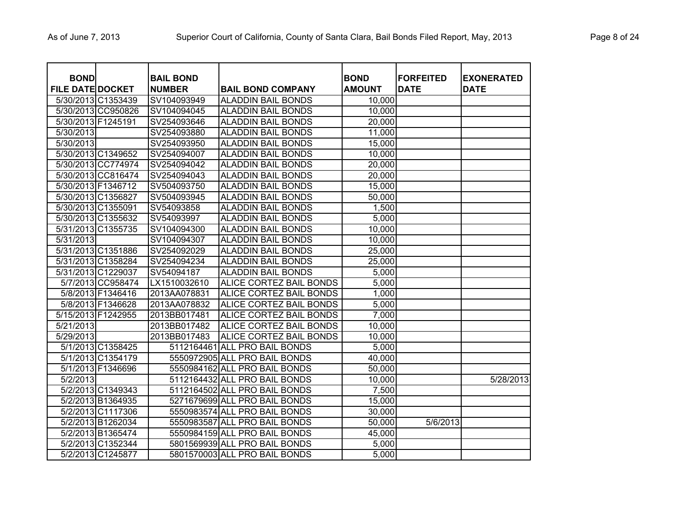| <b>BOND</b><br><b>FILE DATE DOCKET</b> |                    | <b>BAIL BOND</b><br><b>NUMBER</b> | <b>BAIL BOND COMPANY</b>      | <b>BOND</b><br><b>AMOUNT</b> | <b>FORFEITED</b><br><b>DATE</b> | <b>EXONERATED</b><br><b>DATE</b> |
|----------------------------------------|--------------------|-----------------------------------|-------------------------------|------------------------------|---------------------------------|----------------------------------|
| 5/30/2013 C1353439                     |                    | SV104093949                       | <b>ALADDIN BAIL BONDS</b>     | 10,000                       |                                 |                                  |
|                                        | 5/30/2013 CC950826 | SV104094045                       | <b>ALADDIN BAIL BONDS</b>     | 10,000                       |                                 |                                  |
| 5/30/2013 F1245191                     |                    | SV254093646                       | <b>ALADDIN BAIL BONDS</b>     | 20,000                       |                                 |                                  |
| 5/30/2013                              |                    | SV254093880                       | <b>ALADDIN BAIL BONDS</b>     | 11,000                       |                                 |                                  |
| 5/30/2013                              |                    | SV254093950                       | <b>ALADDIN BAIL BONDS</b>     | 15,000                       |                                 |                                  |
| 5/30/2013 C1349652                     |                    | SV254094007                       | <b>ALADDIN BAIL BONDS</b>     | 10,000                       |                                 |                                  |
|                                        | 5/30/2013 CC774974 | SV254094042                       | <b>ALADDIN BAIL BONDS</b>     | 20,000                       |                                 |                                  |
|                                        | 5/30/2013 CC816474 | SV254094043                       | <b>ALADDIN BAIL BONDS</b>     | 20,000                       |                                 |                                  |
| 5/30/2013 F1346712                     |                    | SV504093750                       | <b>ALADDIN BAIL BONDS</b>     | 15,000                       |                                 |                                  |
| 5/30/2013 C1356827                     |                    | SV504093945                       | <b>ALADDIN BAIL BONDS</b>     | 50,000                       |                                 |                                  |
| 5/30/2013 C1355091                     |                    | SV54093858                        | <b>ALADDIN BAIL BONDS</b>     | 1,500                        |                                 |                                  |
| 5/30/2013 C1355632                     |                    | SV54093997                        | <b>ALADDIN BAIL BONDS</b>     | 5,000                        |                                 |                                  |
| 5/31/2013 C1355735                     |                    | SV104094300                       | <b>ALADDIN BAIL BONDS</b>     | 10,000                       |                                 |                                  |
| 5/31/2013                              |                    | SV104094307                       | <b>ALADDIN BAIL BONDS</b>     | 10,000                       |                                 |                                  |
| 5/31/2013 C1351886                     |                    | SV254092029                       | <b>ALADDIN BAIL BONDS</b>     | 25,000                       |                                 |                                  |
|                                        | 5/31/2013 C1358284 | SV254094234                       | <b>ALADDIN BAIL BONDS</b>     | 25,000                       |                                 |                                  |
| 5/31/2013 C1229037                     |                    | SV54094187                        | <b>ALADDIN BAIL BONDS</b>     | 5,000                        |                                 |                                  |
|                                        | 5/7/2013 CC958474  | LX1510032610                      | ALICE CORTEZ BAIL BONDS       | 5,000                        |                                 |                                  |
|                                        | 5/8/2013 F1346416  | 2013AA078831                      | ALICE CORTEZ BAIL BONDS       | 1,000                        |                                 |                                  |
|                                        | 5/8/2013 F1346628  | 2013AA078832                      | ALICE CORTEZ BAIL BONDS       | 5,000                        |                                 |                                  |
| 5/15/2013 F1242955                     |                    | 2013BB017481                      | ALICE CORTEZ BAIL BONDS       | 7,000                        |                                 |                                  |
| 5/21/2013                              |                    | 2013BB017482                      | ALICE CORTEZ BAIL BONDS       | 10,000                       |                                 |                                  |
| 5/29/2013                              |                    | 2013BB017483                      | ALICE CORTEZ BAIL BONDS       | 10,000                       |                                 |                                  |
|                                        | 5/1/2013 C1358425  | 5112164461                        | <b>ALL PRO BAIL BONDS</b>     | 5,000                        |                                 |                                  |
|                                        | 5/1/2013 C1354179  |                                   | 5550972905 ALL PRO BAIL BONDS | 40,000                       |                                 |                                  |
|                                        | 5/1/2013 F1346696  |                                   | 5550984162 ALL PRO BAIL BONDS | 50,000                       |                                 |                                  |
| $\sqrt{5/2/2013}$                      |                    |                                   | 5112164432 ALL PRO BAIL BONDS | 10,000                       |                                 | 5/28/2013                        |
|                                        | 5/2/2013 C1349343  |                                   | 5112164502 ALL PRO BAIL BONDS | 7,500                        |                                 |                                  |
|                                        | 5/2/2013 B1364935  |                                   | 5271679699 ALL PRO BAIL BONDS | 15,000                       |                                 |                                  |
|                                        | 5/2/2013 C1117306  |                                   | 5550983574 ALL PRO BAIL BONDS | 30,000                       |                                 |                                  |
|                                        | 5/2/2013 B1262034  |                                   | 5550983587 ALL PRO BAIL BONDS | 50,000                       | 5/6/2013                        |                                  |
|                                        | 5/2/2013 B1365474  |                                   | 5550984159 ALL PRO BAIL BONDS | 45,000                       |                                 |                                  |
|                                        | 5/2/2013 C1352344  |                                   | 5801569939 ALL PRO BAIL BONDS | 5,000                        |                                 |                                  |
|                                        | 5/2/2013 C1245877  |                                   | 5801570003 ALL PRO BAIL BONDS | 5,000                        |                                 |                                  |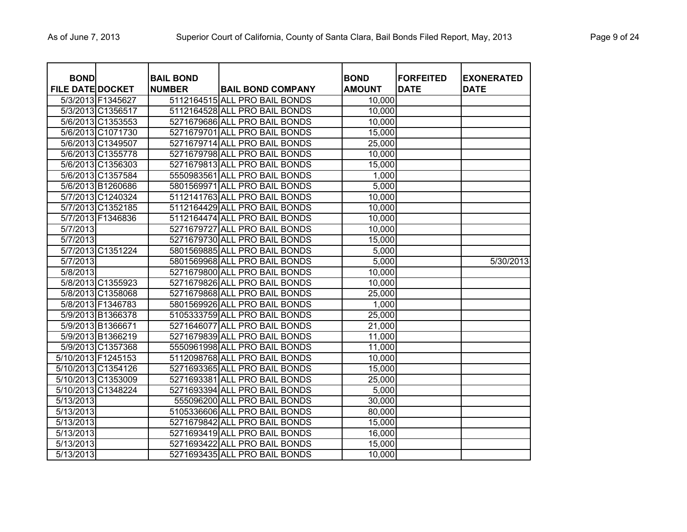| <b>BOND</b><br><b>FILE DATE DOCKET</b> |                   | <b>BAIL BOND</b><br><b>NUMBER</b> | <b>BAIL BOND COMPANY</b>      | <b>BOND</b><br><b>AMOUNT</b> | <b>FORFEITED</b><br><b>DATE</b> | <b>EXONERATED</b><br><b>DATE</b> |
|----------------------------------------|-------------------|-----------------------------------|-------------------------------|------------------------------|---------------------------------|----------------------------------|
|                                        | 5/3/2013 F1345627 |                                   | 5112164515 ALL PRO BAIL BONDS | 10,000                       |                                 |                                  |
|                                        | 5/3/2013 C1356517 |                                   | 5112164528 ALL PRO BAIL BONDS | 10,000                       |                                 |                                  |
|                                        | 5/6/2013 C1353553 |                                   | 5271679686 ALL PRO BAIL BONDS | 10,000                       |                                 |                                  |
|                                        | 5/6/2013 C1071730 |                                   | 5271679701 ALL PRO BAIL BONDS | 15,000                       |                                 |                                  |
|                                        | 5/6/2013 C1349507 |                                   | 5271679714 ALL PRO BAIL BONDS | 25,000                       |                                 |                                  |
|                                        | 5/6/2013 C1355778 |                                   | 5271679798 ALL PRO BAIL BONDS | 10,000                       |                                 |                                  |
|                                        | 5/6/2013 C1356303 |                                   | 5271679813 ALL PRO BAIL BONDS | 15,000                       |                                 |                                  |
|                                        | 5/6/2013 C1357584 |                                   | 5550983561 ALL PRO BAIL BONDS | 1,000                        |                                 |                                  |
|                                        | 5/6/2013 B1260686 |                                   | 5801569971 ALL PRO BAIL BONDS | 5,000                        |                                 |                                  |
|                                        | 5/7/2013 C1240324 |                                   | 5112141763 ALL PRO BAIL BONDS | 10,000                       |                                 |                                  |
|                                        | 5/7/2013 C1352185 |                                   | 5112164429 ALL PRO BAIL BONDS | 10,000                       |                                 |                                  |
|                                        | 5/7/2013 F1346836 |                                   | 5112164474 ALL PRO BAIL BONDS | 10,000                       |                                 |                                  |
| 5/7/2013                               |                   |                                   | 5271679727 ALL PRO BAIL BONDS | 10,000                       |                                 |                                  |
| 5/7/2013                               |                   |                                   | 5271679730 ALL PRO BAIL BONDS | 15,000                       |                                 |                                  |
|                                        | 5/7/2013 C1351224 |                                   | 5801569885 ALL PRO BAIL BONDS | 5,000                        |                                 |                                  |
| 5/7/2013                               |                   |                                   | 5801569968 ALL PRO BAIL BONDS | 5,000                        |                                 | 5/30/2013                        |
| 5/8/2013                               |                   |                                   | 5271679800 ALL PRO BAIL BONDS | 10,000                       |                                 |                                  |
|                                        | 5/8/2013 C1355923 |                                   | 5271679826 ALL PRO BAIL BONDS | 10,000                       |                                 |                                  |
|                                        | 5/8/2013 C1358068 |                                   | 5271679868 ALL PRO BAIL BONDS | 25,000                       |                                 |                                  |
|                                        | 5/8/2013 F1346783 |                                   | 5801569926 ALL PRO BAIL BONDS | 1,000                        |                                 |                                  |
|                                        | 5/9/2013 B1366378 |                                   | 5105333759 ALL PRO BAIL BONDS | 25,000                       |                                 |                                  |
|                                        | 5/9/2013 B1366671 |                                   | 5271646077 ALL PRO BAIL BONDS | 21,000                       |                                 |                                  |
|                                        | 5/9/2013 B1366219 |                                   | 5271679839 ALL PRO BAIL BONDS | 11,000                       |                                 |                                  |
|                                        | 5/9/2013 C1357368 |                                   | 5550961998 ALL PRO BAIL BONDS | 11,000                       |                                 |                                  |
| 5/10/2013 F1245153                     |                   |                                   | 5112098768 ALL PRO BAIL BONDS | 10,000                       |                                 |                                  |
| 5/10/2013 C1354126                     |                   |                                   | 5271693365 ALL PRO BAIL BONDS | 15,000                       |                                 |                                  |
| 5/10/2013 C1353009                     |                   |                                   | 5271693381 ALL PRO BAIL BONDS | 25,000                       |                                 |                                  |
| 5/10/2013 C1348224                     |                   |                                   | 5271693394 ALL PRO BAIL BONDS | 5,000                        |                                 |                                  |
| 5/13/2013                              |                   |                                   | 555096200 ALL PRO BAIL BONDS  | 30,000                       |                                 |                                  |
| 5/13/2013                              |                   |                                   | 5105336606 ALL PRO BAIL BONDS | 80,000                       |                                 |                                  |
| 5/13/2013                              |                   |                                   | 5271679842 ALL PRO BAIL BONDS | 15,000                       |                                 |                                  |
| 5/13/2013                              |                   |                                   | 5271693419 ALL PRO BAIL BONDS | 16,000                       |                                 |                                  |
| 5/13/2013                              |                   |                                   | 5271693422 ALL PRO BAIL BONDS | 15,000                       |                                 |                                  |
| 5/13/2013                              |                   |                                   | 5271693435 ALL PRO BAIL BONDS | 10,000                       |                                 |                                  |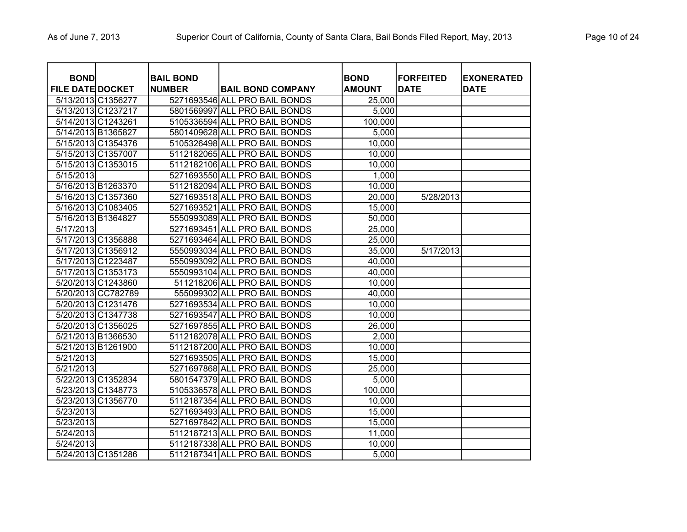| <b>BOND</b>             |                    | <b>BAIL BOND</b> |                               | <b>BOND</b>   | <b>FORFEITED</b> | <b>EXONERATED</b> |
|-------------------------|--------------------|------------------|-------------------------------|---------------|------------------|-------------------|
| <b>FILE DATE DOCKET</b> |                    | <b>NUMBER</b>    | <b>BAIL BOND COMPANY</b>      | <b>AMOUNT</b> | <b>DATE</b>      | <b>DATE</b>       |
|                         | 5/13/2013 C1356277 |                  | 5271693546 ALL PRO BAIL BONDS | 25,000        |                  |                   |
|                         | 5/13/2013 C1237217 |                  | 5801569997 ALL PRO BAIL BONDS | 5,000         |                  |                   |
|                         | 5/14/2013 C1243261 |                  | 5105336594 ALL PRO BAIL BONDS | 100,000       |                  |                   |
|                         | 5/14/2013 B1365827 |                  | 5801409628 ALL PRO BAIL BONDS | 5,000         |                  |                   |
|                         | 5/15/2013 C1354376 |                  | 5105326498 ALL PRO BAIL BONDS | 10,000        |                  |                   |
|                         | 5/15/2013 C1357007 |                  | 5112182065 ALL PRO BAIL BONDS | 10,000        |                  |                   |
|                         | 5/15/2013 C1353015 |                  | 5112182106 ALL PRO BAIL BONDS | 10,000        |                  |                   |
| 5/15/2013               |                    |                  | 5271693550 ALL PRO BAIL BONDS | 1,000         |                  |                   |
|                         | 5/16/2013 B1263370 |                  | 5112182094 ALL PRO BAIL BONDS | 10,000        |                  |                   |
|                         | 5/16/2013 C1357360 |                  | 5271693518 ALL PRO BAIL BONDS | 20,000        | 5/28/2013        |                   |
|                         | 5/16/2013 C1083405 |                  | 5271693521 ALL PRO BAIL BONDS | 15,000        |                  |                   |
|                         | 5/16/2013 B1364827 |                  | 5550993089 ALL PRO BAIL BONDS | 50,000        |                  |                   |
| 5/17/2013               |                    |                  | 5271693451 ALL PRO BAIL BONDS | 25,000        |                  |                   |
|                         | 5/17/2013 C1356888 |                  | 5271693464 ALL PRO BAIL BONDS | 25,000        |                  |                   |
|                         | 5/17/2013 C1356912 |                  | 5550993034 ALL PRO BAIL BONDS | 35,000        | 5/17/2013        |                   |
|                         | 5/17/2013 C1223487 |                  | 5550993092 ALL PRO BAIL BONDS | 40,000        |                  |                   |
|                         | 5/17/2013 C1353173 |                  | 5550993104 ALL PRO BAIL BONDS | 40,000        |                  |                   |
|                         | 5/20/2013 C1243860 |                  | 511218206 ALL PRO BAIL BONDS  | 10,000        |                  |                   |
|                         | 5/20/2013 CC782789 |                  | 555099302 ALL PRO BAIL BONDS  | 40,000        |                  |                   |
|                         | 5/20/2013 C1231476 |                  | 5271693534 ALL PRO BAIL BONDS | 10,000        |                  |                   |
|                         | 5/20/2013 C1347738 |                  | 5271693547 ALL PRO BAIL BONDS | 10,000        |                  |                   |
|                         | 5/20/2013 C1356025 |                  | 5271697855 ALL PRO BAIL BONDS | 26,000        |                  |                   |
|                         | 5/21/2013 B1366530 |                  | 5112182078 ALL PRO BAIL BONDS | 2,000         |                  |                   |
|                         | 5/21/2013 B1261900 |                  | 5112187200 ALL PRO BAIL BONDS | 10,000        |                  |                   |
| 5/21/2013               |                    |                  | 5271693505 ALL PRO BAIL BONDS | 15,000        |                  |                   |
| 5/21/2013               |                    |                  | 5271697868 ALL PRO BAIL BONDS | 25,000        |                  |                   |
|                         | 5/22/2013 C1352834 |                  | 5801547379 ALL PRO BAIL BONDS | 5,000         |                  |                   |
|                         | 5/23/2013 C1348773 |                  | 5105336578 ALL PRO BAIL BONDS | 100,000       |                  |                   |
|                         | 5/23/2013 C1356770 |                  | 5112187354 ALL PRO BAIL BONDS | 10,000        |                  |                   |
| 5/23/2013               |                    |                  | 5271693493 ALL PRO BAIL BONDS | 15,000        |                  |                   |
| 5/23/2013               |                    |                  | 5271697842 ALL PRO BAIL BONDS | 15,000        |                  |                   |
| 5/24/2013               |                    |                  | 5112187213 ALL PRO BAIL BONDS | 11,000        |                  |                   |
| 5/24/2013               |                    |                  | 5112187338 ALL PRO BAIL BONDS | 10,000        |                  |                   |
|                         | 5/24/2013 C1351286 |                  | 5112187341 ALL PRO BAIL BONDS | 5,000         |                  |                   |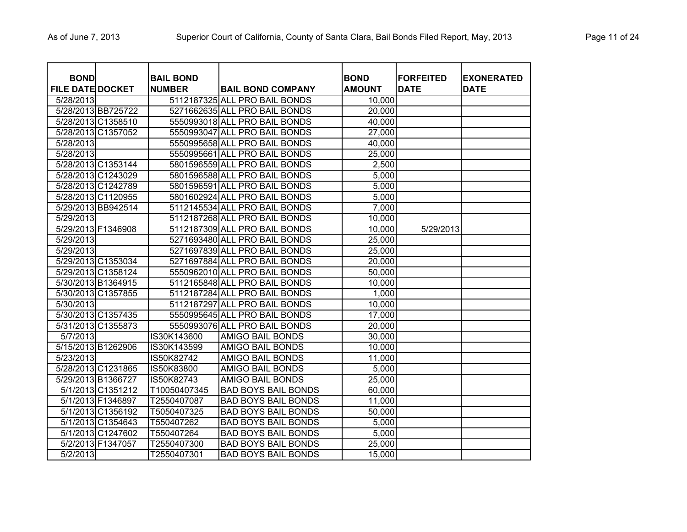| <b>BOND</b>             |                    | <b>BAIL BOND</b> |                               | <b>BOND</b>         | <b>FORFEITED</b> | <b>EXONERATED</b> |
|-------------------------|--------------------|------------------|-------------------------------|---------------------|------------------|-------------------|
| <b>FILE DATE DOCKET</b> |                    | <b>NUMBER</b>    | <b>BAIL BOND COMPANY</b>      | <b>AMOUNT</b>       | <b>DATE</b>      | <b>DATE</b>       |
| 5/28/2013               |                    |                  | 5112187325 ALL PRO BAIL BONDS | 10,000              |                  |                   |
|                         | 5/28/2013 BB725722 |                  | 5271662635 ALL PRO BAIL BONDS | 20,000              |                  |                   |
|                         | 5/28/2013 C1358510 |                  | 5550993018 ALL PRO BAIL BONDS | 40,000              |                  |                   |
|                         | 5/28/2013 C1357052 |                  | 5550993047 ALL PRO BAIL BONDS | 27,000              |                  |                   |
| 5/28/2013               |                    |                  | 5550995658 ALL PRO BAIL BONDS | 40,000              |                  |                   |
| 5/28/2013               |                    |                  | 5550995661 ALL PRO BAIL BONDS | 25,000              |                  |                   |
| 5/28/2013 C1353144      |                    |                  | 5801596559 ALL PRO BAIL BONDS | 2,500               |                  |                   |
| 5/28/2013 C1243029      |                    |                  | 5801596588 ALL PRO BAIL BONDS | 5,000               |                  |                   |
| 5/28/2013 C1242789      |                    |                  | 5801596591 ALL PRO BAIL BONDS | 5,000               |                  |                   |
| 5/28/2013 C1120955      |                    |                  | 5801602924 ALL PRO BAIL BONDS | 5,000               |                  |                   |
|                         | 5/29/2013 BB942514 |                  | 5112145534 ALL PRO BAIL BONDS | 7,000               |                  |                   |
| 5/29/2013               |                    |                  | 5112187268 ALL PRO BAIL BONDS | 10,000              |                  |                   |
| 5/29/2013 F1346908      |                    |                  | 5112187309 ALL PRO BAIL BONDS | 10,000              | 5/29/2013        |                   |
| 5/29/2013               |                    |                  | 5271693480 ALL PRO BAIL BONDS | 25,000              |                  |                   |
| 5/29/2013               |                    |                  | 5271697839 ALL PRO BAIL BONDS | 25,000              |                  |                   |
| 5/29/2013 C1353034      |                    |                  | 5271697884 ALL PRO BAIL BONDS | 20,000              |                  |                   |
|                         | 5/29/2013 C1358124 |                  | 5550962010 ALL PRO BAIL BONDS | 50,000              |                  |                   |
| 5/30/2013 B1364915      |                    |                  | 5112165848 ALL PRO BAIL BONDS | 10,000              |                  |                   |
| 5/30/2013 C1357855      |                    |                  | 5112187284 ALL PRO BAIL BONDS | 1,000               |                  |                   |
| 5/30/2013               |                    |                  | 5112187297 ALL PRO BAIL BONDS | 10,000              |                  |                   |
|                         | 5/30/2013 C1357435 |                  | 5550995645 ALL PRO BAIL BONDS | 17,000              |                  |                   |
| 5/31/2013 C1355873      |                    |                  | 5550993076 ALL PRO BAIL BONDS | 20,000              |                  |                   |
| 5/7/2013                |                    | IS30K143600      | <b>AMIGO BAIL BONDS</b>       | 30,000              |                  |                   |
| 5/15/2013 B1262906      |                    | IS30K143599      | <b>AMIGO BAIL BONDS</b>       | 10,000              |                  |                   |
| 5/23/2013               |                    | IS50K82742       | <b>AMIGO BAIL BONDS</b>       | 11,000              |                  |                   |
| 5/28/2013 C1231865      |                    | IS50K83800       | <b>AMIGO BAIL BONDS</b>       | 5,000               |                  |                   |
| 5/29/2013 B1366727      |                    | IS50K82743       | <b>AMIGO BAIL BONDS</b>       | 25,000              |                  |                   |
|                         | 5/1/2013 C1351212  | T10050407345     | <b>BAD BOYS BAIL BONDS</b>    | 60,000              |                  |                   |
|                         | 5/1/2013 F1346897  | T2550407087      | <b>BAD BOYS BAIL BONDS</b>    | 11,000              |                  |                   |
|                         | 5/1/2013 C1356192  | T5050407325      | <b>BAD BOYS BAIL BONDS</b>    | $\overline{50,000}$ |                  |                   |
|                         | 5/1/2013 C1354643  | T550407262       | <b>BAD BOYS BAIL BONDS</b>    | 5,000               |                  |                   |
|                         | 5/1/2013 C1247602  | T550407264       | <b>BAD BOYS BAIL BONDS</b>    | 5,000               |                  |                   |
|                         | 5/2/2013 F1347057  | T2550407300      | <b>BAD BOYS BAIL BONDS</b>    | 25,000              |                  |                   |
| 5/2/2013                |                    | T2550407301      | <b>BAD BOYS BAIL BONDS</b>    | 15,000              |                  |                   |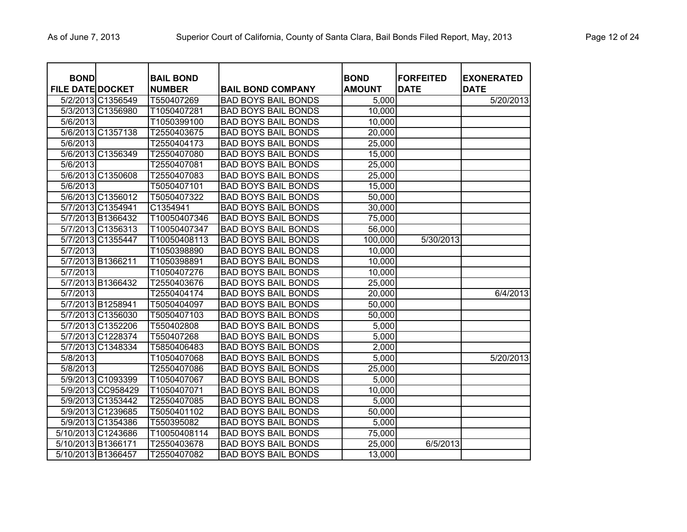| <b>BOND</b><br><b>FILE DATE DOCKET</b> |                    | <b>BAIL BOND</b><br><b>NUMBER</b> | <b>BAIL BOND COMPANY</b>   | <b>BOND</b><br><b>AMOUNT</b> | <b>FORFEITED</b><br><b>DATE</b> | <b>EXONERATED</b><br><b>DATE</b> |
|----------------------------------------|--------------------|-----------------------------------|----------------------------|------------------------------|---------------------------------|----------------------------------|
|                                        | 5/2/2013 C1356549  | T550407269                        | <b>BAD BOYS BAIL BONDS</b> | 5,000                        |                                 | 5/20/2013                        |
|                                        | 5/3/2013 C1356980  | T1050407281                       | <b>BAD BOYS BAIL BONDS</b> | 10,000                       |                                 |                                  |
| 5/6/2013                               |                    | T1050399100                       | <b>BAD BOYS BAIL BONDS</b> | 10,000                       |                                 |                                  |
|                                        | 5/6/2013 C1357138  | T2550403675                       | <b>BAD BOYS BAIL BONDS</b> | 20,000                       |                                 |                                  |
| 5/6/2013                               |                    | T2550404173                       | <b>BAD BOYS BAIL BONDS</b> | 25,000                       |                                 |                                  |
|                                        | 5/6/2013 C1356349  | T2550407080                       | <b>BAD BOYS BAIL BONDS</b> | 15,000                       |                                 |                                  |
| 5/6/2013                               |                    | T2550407081                       | <b>BAD BOYS BAIL BONDS</b> | 25,000                       |                                 |                                  |
|                                        | 5/6/2013 C1350608  | T2550407083                       | <b>BAD BOYS BAIL BONDS</b> | 25,000                       |                                 |                                  |
| 5/6/2013                               |                    | T5050407101                       | <b>BAD BOYS BAIL BONDS</b> | 15,000                       |                                 |                                  |
|                                        | 5/6/2013 C1356012  | T5050407322                       | <b>BAD BOYS BAIL BONDS</b> | 50,000                       |                                 |                                  |
|                                        | 5/7/2013 C1354941  | C1354941                          | <b>BAD BOYS BAIL BONDS</b> | 30,000                       |                                 |                                  |
|                                        | 5/7/2013 B1366432  | T10050407346                      | <b>BAD BOYS BAIL BONDS</b> | 75,000                       |                                 |                                  |
|                                        | 5/7/2013 C1356313  | T10050407347                      | <b>BAD BOYS BAIL BONDS</b> | 56,000                       |                                 |                                  |
|                                        | 5/7/2013 C1355447  | T10050408113                      | <b>BAD BOYS BAIL BONDS</b> | 100,000                      | 5/30/2013                       |                                  |
| 5/7/2013                               |                    | T1050398890                       | <b>BAD BOYS BAIL BONDS</b> | 10,000                       |                                 |                                  |
|                                        | 5/7/2013 B1366211  | T1050398891                       | <b>BAD BOYS BAIL BONDS</b> | 10,000                       |                                 |                                  |
| 5/7/2013                               |                    | T1050407276                       | <b>BAD BOYS BAIL BONDS</b> | 10,000                       |                                 |                                  |
|                                        | 5/7/2013 B1366432  | T2550403676                       | <b>BAD BOYS BAIL BONDS</b> | 25,000                       |                                 |                                  |
| 5/7/2013                               |                    | T2550404174                       | <b>BAD BOYS BAIL BONDS</b> | 20,000                       |                                 | 6/4/2013                         |
|                                        | 5/7/2013 B1258941  | T5050404097                       | <b>BAD BOYS BAIL BONDS</b> | 50,000                       |                                 |                                  |
|                                        | 5/7/2013 C1356030  | T5050407103                       | <b>BAD BOYS BAIL BONDS</b> | 50,000                       |                                 |                                  |
|                                        | 5/7/2013 C1352206  | T550402808                        | <b>BAD BOYS BAIL BONDS</b> | 5,000                        |                                 |                                  |
|                                        | 5/7/2013 C1228374  | T550407268                        | <b>BAD BOYS BAIL BONDS</b> | 5,000                        |                                 |                                  |
|                                        | 5/7/2013 C1348334  | T5850406483                       | <b>BAD BOYS BAIL BONDS</b> | 2,000                        |                                 |                                  |
| 5/8/2013                               |                    | T1050407068                       | <b>BAD BOYS BAIL BONDS</b> | 5,000                        |                                 | 5/20/2013                        |
| 5/8/2013                               |                    | T2550407086                       | <b>BAD BOYS BAIL BONDS</b> | 25,000                       |                                 |                                  |
|                                        | 5/9/2013 C1093399  | T1050407067                       | <b>BAD BOYS BAIL BONDS</b> | 5,000                        |                                 |                                  |
|                                        | 5/9/2013 CC958429  | T1050407071                       | <b>BAD BOYS BAIL BONDS</b> | 10,000                       |                                 |                                  |
|                                        | 5/9/2013 C1353442  | T2550407085                       | <b>BAD BOYS BAIL BONDS</b> | 5,000                        |                                 |                                  |
|                                        | 5/9/2013 C1239685  | T5050401102                       | <b>BAD BOYS BAIL BONDS</b> | 50,000                       |                                 |                                  |
|                                        | 5/9/2013 C1354386  | T550395082                        | <b>BAD BOYS BAIL BONDS</b> | 5,000                        |                                 |                                  |
|                                        | 5/10/2013 C1243686 | T10050408114                      | <b>BAD BOYS BAIL BONDS</b> | 75,000                       |                                 |                                  |
|                                        | 5/10/2013 B1366171 | T2550403678                       | <b>BAD BOYS BAIL BONDS</b> | 25,000                       | 6/5/2013                        |                                  |
|                                        | 5/10/2013 B1366457 | T2550407082                       | <b>BAD BOYS BAIL BONDS</b> | 13,000                       |                                 |                                  |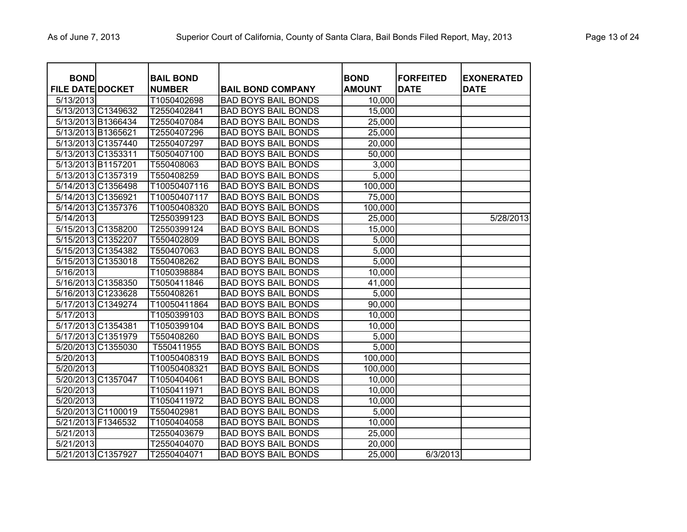| <b>BOND</b>             |                    | <b>BAIL BOND</b> |                            | <b>BOND</b>   | <b>FORFEITED</b> | <b>EXONERATED</b> |
|-------------------------|--------------------|------------------|----------------------------|---------------|------------------|-------------------|
| <b>FILE DATE DOCKET</b> |                    | <b>NUMBER</b>    | <b>BAIL BOND COMPANY</b>   | <b>AMOUNT</b> | <b>DATE</b>      | <b>DATE</b>       |
| 5/13/2013               |                    | T1050402698      | <b>BAD BOYS BAIL BONDS</b> | 10,000        |                  |                   |
|                         | 5/13/2013 C1349632 | T2550402841      | <b>BAD BOYS BAIL BONDS</b> | 15,000        |                  |                   |
|                         | 5/13/2013 B1366434 | T2550407084      | <b>BAD BOYS BAIL BONDS</b> | 25,000        |                  |                   |
| 5/13/2013 B1365621      |                    | T2550407296      | <b>BAD BOYS BAIL BONDS</b> | 25,000        |                  |                   |
|                         | 5/13/2013 C1357440 | T2550407297      | <b>BAD BOYS BAIL BONDS</b> | 20,000        |                  |                   |
|                         | 5/13/2013 C1353311 | T5050407100      | <b>BAD BOYS BAIL BONDS</b> | 50,000        |                  |                   |
|                         | 5/13/2013 B1157201 | T550408063       | <b>BAD BOYS BAIL BONDS</b> | 3,000         |                  |                   |
|                         | 5/13/2013 C1357319 | T550408259       | <b>BAD BOYS BAIL BONDS</b> | 5,000         |                  |                   |
|                         | 5/14/2013 C1356498 | T10050407116     | <b>BAD BOYS BAIL BONDS</b> | 100,000       |                  |                   |
|                         | 5/14/2013 C1356921 | T10050407117     | <b>BAD BOYS BAIL BONDS</b> | 75,000        |                  |                   |
|                         | 5/14/2013 C1357376 | T10050408320     | <b>BAD BOYS BAIL BONDS</b> | 100,000       |                  |                   |
| 5/14/2013               |                    | T2550399123      | <b>BAD BOYS BAIL BONDS</b> | 25,000        |                  | 5/28/2013         |
|                         | 5/15/2013 C1358200 | T2550399124      | <b>BAD BOYS BAIL BONDS</b> | 15,000        |                  |                   |
|                         | 5/15/2013 C1352207 | T550402809       | <b>BAD BOYS BAIL BONDS</b> | 5,000         |                  |                   |
|                         | 5/15/2013 C1354382 | T550407063       | <b>BAD BOYS BAIL BONDS</b> | 5,000         |                  |                   |
|                         | 5/15/2013 C1353018 | T550408262       | <b>BAD BOYS BAIL BONDS</b> | 5,000         |                  |                   |
| 5/16/2013               |                    | T1050398884      | <b>BAD BOYS BAIL BONDS</b> | 10,000        |                  |                   |
|                         | 5/16/2013 C1358350 | T5050411846      | <b>BAD BOYS BAIL BONDS</b> | 41,000        |                  |                   |
|                         | 5/16/2013 C1233628 | T550408261       | <b>BAD BOYS BAIL BONDS</b> | 5,000         |                  |                   |
|                         | 5/17/2013 C1349274 | T10050411864     | <b>BAD BOYS BAIL BONDS</b> | 90,000        |                  |                   |
| 5/17/2013               |                    | T1050399103      | <b>BAD BOYS BAIL BONDS</b> | 10,000        |                  |                   |
|                         | 5/17/2013 C1354381 | T1050399104      | <b>BAD BOYS BAIL BONDS</b> | 10,000        |                  |                   |
|                         | 5/17/2013 C1351979 | T550408260       | <b>BAD BOYS BAIL BONDS</b> | 5,000         |                  |                   |
|                         | 5/20/2013 C1355030 | T550411955       | <b>BAD BOYS BAIL BONDS</b> | 5,000         |                  |                   |
| 5/20/2013               |                    | T10050408319     | <b>BAD BOYS BAIL BONDS</b> | 100,000       |                  |                   |
| 5/20/2013               |                    | T10050408321     | <b>BAD BOYS BAIL BONDS</b> | 100,000       |                  |                   |
|                         | 5/20/2013 C1357047 | T1050404061      | <b>BAD BOYS BAIL BONDS</b> | 10,000        |                  |                   |
| 5/20/2013               |                    | T1050411971      | <b>BAD BOYS BAIL BONDS</b> | 10,000        |                  |                   |
| 5/20/2013               |                    | T1050411972      | <b>BAD BOYS BAIL BONDS</b> | 10,000        |                  |                   |
|                         | 5/20/2013 C1100019 | T550402981       | <b>BAD BOYS BAIL BONDS</b> | 5,000         |                  |                   |
|                         | 5/21/2013 F1346532 | T1050404058      | <b>BAD BOYS BAIL BONDS</b> | 10,000        |                  |                   |
| 5/21/2013               |                    | T2550403679      | <b>BAD BOYS BAIL BONDS</b> | 25,000        |                  |                   |
| 5/21/2013               |                    | T2550404070      | <b>BAD BOYS BAIL BONDS</b> | 20,000        |                  |                   |
|                         | 5/21/2013 C1357927 | T2550404071      | <b>BAD BOYS BAIL BONDS</b> | 25,000        | 6/3/2013         |                   |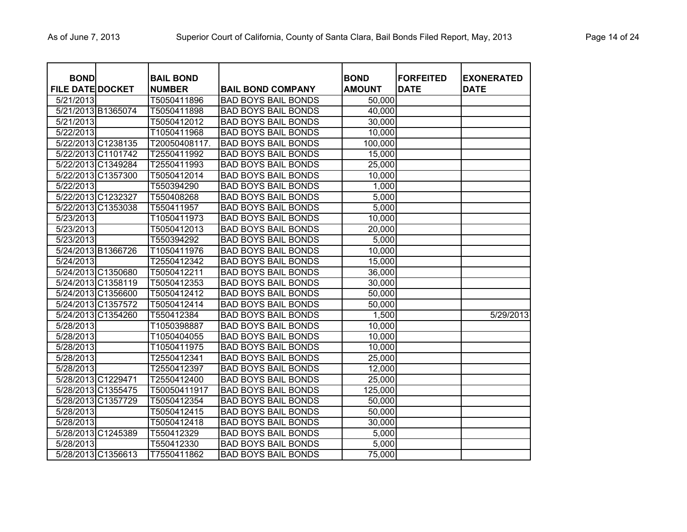| <b>BOND</b><br><b>FILE DATE DOCKET</b> |                    | <b>BAIL BOND</b><br><b>NUMBER</b> | <b>BAIL BOND COMPANY</b>   | <b>BOND</b><br><b>AMOUNT</b> | <b>FORFEITED</b><br><b>DATE</b> | <b>EXONERATED</b><br><b>DATE</b> |
|----------------------------------------|--------------------|-----------------------------------|----------------------------|------------------------------|---------------------------------|----------------------------------|
| 5/21/2013                              |                    | T5050411896                       | <b>BAD BOYS BAIL BONDS</b> | 50,000                       |                                 |                                  |
|                                        | 5/21/2013 B1365074 | T5050411898                       | <b>BAD BOYS BAIL BONDS</b> | 40,000                       |                                 |                                  |
| 5/21/2013                              |                    | T5050412012                       | <b>BAD BOYS BAIL BONDS</b> | 30,000                       |                                 |                                  |
| 5/22/2013                              |                    | T1050411968                       | <b>BAD BOYS BAIL BONDS</b> | 10,000                       |                                 |                                  |
|                                        | 5/22/2013 C1238135 | T20050408117.                     | <b>BAD BOYS BAIL BONDS</b> | 100,000                      |                                 |                                  |
|                                        | 5/22/2013 C1101742 | T2550411992                       | <b>BAD BOYS BAIL BONDS</b> | 15,000                       |                                 |                                  |
|                                        | 5/22/2013 C1349284 | T2550411993                       | <b>BAD BOYS BAIL BONDS</b> | 25,000                       |                                 |                                  |
|                                        | 5/22/2013 C1357300 | T5050412014                       | <b>BAD BOYS BAIL BONDS</b> | 10,000                       |                                 |                                  |
| 5/22/2013                              |                    | T550394290                        | <b>BAD BOYS BAIL BONDS</b> | 1,000                        |                                 |                                  |
|                                        | 5/22/2013 C1232327 | T550408268                        | <b>BAD BOYS BAIL BONDS</b> | 5,000                        |                                 |                                  |
|                                        | 5/22/2013 C1353038 | T550411957                        | <b>BAD BOYS BAIL BONDS</b> | 5,000                        |                                 |                                  |
| 5/23/2013                              |                    | T1050411973                       | <b>BAD BOYS BAIL BONDS</b> | 10,000                       |                                 |                                  |
| 5/23/2013                              |                    | T5050412013                       | <b>BAD BOYS BAIL BONDS</b> | 20,000                       |                                 |                                  |
| 5/23/2013                              |                    | T550394292                        | <b>BAD BOYS BAIL BONDS</b> | 5,000                        |                                 |                                  |
|                                        | 5/24/2013 B1366726 | T1050411976                       | <b>BAD BOYS BAIL BONDS</b> | 10,000                       |                                 |                                  |
| 5/24/2013                              |                    | T2550412342                       | <b>BAD BOYS BAIL BONDS</b> | 15,000                       |                                 |                                  |
|                                        | 5/24/2013 C1350680 | T5050412211                       | <b>BAD BOYS BAIL BONDS</b> | 36,000                       |                                 |                                  |
|                                        | 5/24/2013 C1358119 | T5050412353                       | <b>BAD BOYS BAIL BONDS</b> | 30,000                       |                                 |                                  |
|                                        | 5/24/2013 C1356600 | T5050412412                       | <b>BAD BOYS BAIL BONDS</b> | 50,000                       |                                 |                                  |
|                                        | 5/24/2013 C1357572 | T5050412414                       | <b>BAD BOYS BAIL BONDS</b> | 50,000                       |                                 |                                  |
|                                        | 5/24/2013 C1354260 | T550412384                        | <b>BAD BOYS BAIL BONDS</b> | 1,500                        |                                 | 5/29/2013                        |
| 5/28/2013                              |                    | T1050398887                       | <b>BAD BOYS BAIL BONDS</b> | 10,000                       |                                 |                                  |
| 5/28/2013                              |                    | T1050404055                       | <b>BAD BOYS BAIL BONDS</b> | 10,000                       |                                 |                                  |
| 5/28/2013                              |                    | T1050411975                       | <b>BAD BOYS BAIL BONDS</b> | 10,000                       |                                 |                                  |
| 5/28/2013                              |                    | T2550412341                       | <b>BAD BOYS BAIL BONDS</b> | 25,000                       |                                 |                                  |
| 5/28/2013                              |                    | T2550412397                       | <b>BAD BOYS BAIL BONDS</b> | 12,000                       |                                 |                                  |
|                                        | 5/28/2013 C1229471 | T2550412400                       | <b>BAD BOYS BAIL BONDS</b> | 25,000                       |                                 |                                  |
|                                        | 5/28/2013 C1355475 | T50050411917                      | <b>BAD BOYS BAIL BONDS</b> | 125,000                      |                                 |                                  |
|                                        | 5/28/2013 C1357729 | T5050412354                       | <b>BAD BOYS BAIL BONDS</b> | 50,000                       |                                 |                                  |
| 5/28/2013                              |                    | T5050412415                       | <b>BAD BOYS BAIL BONDS</b> | 50,000                       |                                 |                                  |
| 5/28/2013                              |                    | T5050412418                       | <b>BAD BOYS BAIL BONDS</b> | 30,000                       |                                 |                                  |
|                                        | 5/28/2013 C1245389 | T550412329                        | <b>BAD BOYS BAIL BONDS</b> | 5,000                        |                                 |                                  |
| 5/28/2013                              |                    | T550412330                        | <b>BAD BOYS BAIL BONDS</b> | 5,000                        |                                 |                                  |
|                                        | 5/28/2013 C1356613 | T7550411862                       | <b>BAD BOYS BAIL BONDS</b> | 75,000                       |                                 |                                  |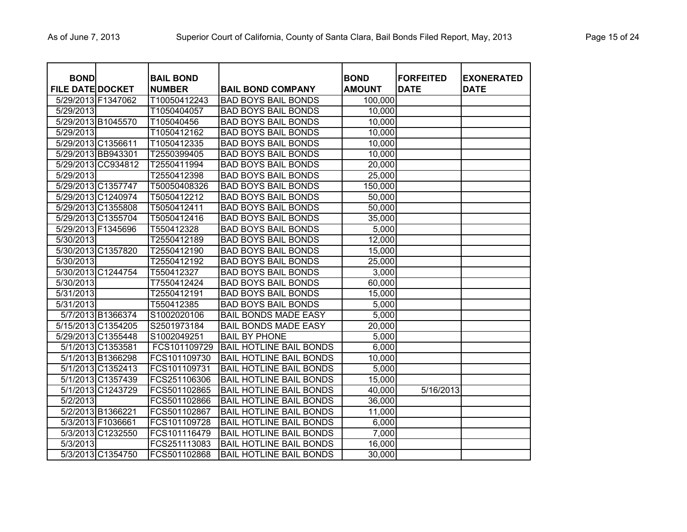| <b>BOND</b>             |                    | <b>BAIL BOND</b> |                                | <b>BOND</b>   | <b>FORFEITED</b> | <b>EXONERATED</b> |
|-------------------------|--------------------|------------------|--------------------------------|---------------|------------------|-------------------|
| <b>FILE DATE DOCKET</b> |                    | <b>NUMBER</b>    | <b>BAIL BOND COMPANY</b>       | <b>AMOUNT</b> | <b>DATE</b>      | <b>DATE</b>       |
| 5/29/2013 F1347062      |                    | T10050412243     | <b>BAD BOYS BAIL BONDS</b>     | 100,000       |                  |                   |
| 5/29/2013               |                    | T1050404057      | <b>BAD BOYS BAIL BONDS</b>     | 10,000        |                  |                   |
|                         | 5/29/2013 B1045570 | T105040456       | <b>BAD BOYS BAIL BONDS</b>     | 10,000        |                  |                   |
| 5/29/2013               |                    | T1050412162      | <b>BAD BOYS BAIL BONDS</b>     | 10,000        |                  |                   |
| 5/29/2013 C1356611      |                    | T1050412335      | <b>BAD BOYS BAIL BONDS</b>     | 10,000        |                  |                   |
|                         | 5/29/2013 BB943301 | T2550399405      | <b>BAD BOYS BAIL BONDS</b>     | 10,000        |                  |                   |
|                         | 5/29/2013 CC934812 | T2550411994      | <b>BAD BOYS BAIL BONDS</b>     | 20,000        |                  |                   |
| 5/29/2013               |                    | T2550412398      | <b>BAD BOYS BAIL BONDS</b>     | 25,000        |                  |                   |
| 5/29/2013 C1357747      |                    | T50050408326     | <b>BAD BOYS BAIL BONDS</b>     | 150,000       |                  |                   |
|                         | 5/29/2013 C1240974 | T5050412212      | <b>BAD BOYS BAIL BONDS</b>     | 50,000        |                  |                   |
|                         | 5/29/2013 C1355808 | T5050412411      | <b>BAD BOYS BAIL BONDS</b>     | 50,000        |                  |                   |
|                         | 5/29/2013 C1355704 | T5050412416      | <b>BAD BOYS BAIL BONDS</b>     | 35,000        |                  |                   |
|                         | 5/29/2013 F1345696 | T550412328       | <b>BAD BOYS BAIL BONDS</b>     | 5,000         |                  |                   |
| 5/30/2013               |                    | T2550412189      | <b>BAD BOYS BAIL BONDS</b>     | 12,000        |                  |                   |
|                         | 5/30/2013 C1357820 | T2550412190      | <b>BAD BOYS BAIL BONDS</b>     | 15,000        |                  |                   |
| 5/30/2013               |                    | T2550412192      | <b>BAD BOYS BAIL BONDS</b>     | 25,000        |                  |                   |
|                         | 5/30/2013 C1244754 | T550412327       | <b>BAD BOYS BAIL BONDS</b>     | 3,000         |                  |                   |
| 5/30/2013               |                    | T7550412424      | <b>BAD BOYS BAIL BONDS</b>     | 60,000        |                  |                   |
| 5/31/2013               |                    | T2550412191      | <b>BAD BOYS BAIL BONDS</b>     | 15,000        |                  |                   |
| 5/31/2013               |                    | T550412385       | <b>BAD BOYS BAIL BONDS</b>     | 5,000         |                  |                   |
|                         | 5/7/2013 B1366374  | S1002020106      | <b>BAIL BONDS MADE EASY</b>    | 5,000         |                  |                   |
|                         | 5/15/2013 C1354205 | S2501973184      | <b>BAIL BONDS MADE EASY</b>    | 20,000        |                  |                   |
|                         | 5/29/2013 C1355448 | S1002049251      | <b>BAIL BY PHONE</b>           | 5,000         |                  |                   |
|                         | 5/1/2013 C1353581  | FCS101109729     | <b>BAIL HOTLINE BAIL BONDS</b> | 6,000         |                  |                   |
|                         | 5/1/2013 B1366298  | FCS101109730     | <b>BAIL HOTLINE BAIL BONDS</b> | 10,000        |                  |                   |
|                         | 5/1/2013 C1352413  | FCS101109731     | <b>BAIL HOTLINE BAIL BONDS</b> | 5,000         |                  |                   |
|                         | 5/1/2013 C1357439  | FCS251106306     | <b>BAIL HOTLINE BAIL BONDS</b> | 15,000        |                  |                   |
|                         | 5/1/2013 C1243729  | FCS501102865     | <b>BAIL HOTLINE BAIL BONDS</b> | 40,000        | 5/16/2013        |                   |
| 5/2/2013                |                    | FCS501102866     | <b>BAIL HOTLINE BAIL BONDS</b> | 36,000        |                  |                   |
|                         | 5/2/2013 B1366221  | FCS501102867     | <b>BAIL HOTLINE BAIL BONDS</b> | 11,000        |                  |                   |
|                         | 5/3/2013 F1036661  | FCS101109728     | <b>BAIL HOTLINE BAIL BONDS</b> | 6,000         |                  |                   |
|                         | 5/3/2013 C1232550  | FCS101116479     | <b>BAIL HOTLINE BAIL BONDS</b> | 7,000         |                  |                   |
| 5/3/2013                |                    | FCS251113083     | <b>BAIL HOTLINE BAIL BONDS</b> | 16,000        |                  |                   |
|                         | 5/3/2013 C1354750  | FCS501102868     | BAIL HOTLINE BAIL BONDS        | 30,000        |                  |                   |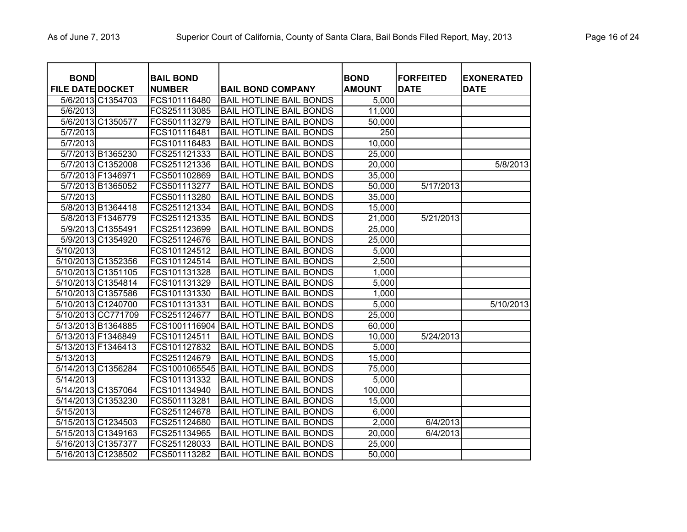| <b>BOND</b><br><b>FILE DATE DOCKET</b> |                    | <b>BAIL BOND</b><br><b>NUMBER</b> | <b>BAIL BOND COMPANY</b>       | <b>BOND</b><br><b>AMOUNT</b> | <b>FORFEITED</b><br><b>DATE</b> | <b>EXONERATED</b><br><b>DATE</b> |
|----------------------------------------|--------------------|-----------------------------------|--------------------------------|------------------------------|---------------------------------|----------------------------------|
|                                        | 5/6/2013 C1354703  | FCS101116480                      | <b>BAIL HOTLINE BAIL BONDS</b> | 5,000                        |                                 |                                  |
| 5/6/2013                               |                    | FCS251113085                      | <b>BAIL HOTLINE BAIL BONDS</b> | $\overline{11,000}$          |                                 |                                  |
|                                        | 5/6/2013 C1350577  | FCS501113279                      | <b>BAIL HOTLINE BAIL BONDS</b> | 50,000                       |                                 |                                  |
| 5/7/2013                               |                    | FCS101116481                      | <b>BAIL HOTLINE BAIL BONDS</b> | 250                          |                                 |                                  |
| 5/7/2013                               |                    | FCS101116483                      | <b>BAIL HOTLINE BAIL BONDS</b> | 10,000                       |                                 |                                  |
|                                        | 5/7/2013 B1365230  | FCS251121333                      | <b>BAIL HOTLINE BAIL BONDS</b> | 25,000                       |                                 |                                  |
|                                        | 5/7/2013 C1352008  | FCS251121336                      | <b>BAIL HOTLINE BAIL BONDS</b> | 20,000                       |                                 | 5/8/2013                         |
|                                        | 5/7/2013 F1346971  | FCS501102869                      | <b>BAIL HOTLINE BAIL BONDS</b> | 35,000                       |                                 |                                  |
|                                        | 5/7/2013 B1365052  | FCS501113277                      | <b>BAIL HOTLINE BAIL BONDS</b> | 50,000                       | 5/17/2013                       |                                  |
| 5/7/2013                               |                    | FCS501113280                      | <b>BAIL HOTLINE BAIL BONDS</b> | 35,000                       |                                 |                                  |
|                                        | 5/8/2013 B1364418  | FCS251121334                      | <b>BAIL HOTLINE BAIL BONDS</b> | 15,000                       |                                 |                                  |
|                                        | 5/8/2013 F1346779  | FCS251121335                      | <b>BAIL HOTLINE BAIL BONDS</b> | 21,000                       | 5/21/2013                       |                                  |
|                                        | 5/9/2013 C1355491  | FCS251123699                      | <b>BAIL HOTLINE BAIL BONDS</b> | 25,000                       |                                 |                                  |
|                                        | 5/9/2013 C1354920  | FCS251124676                      | <b>BAIL HOTLINE BAIL BONDS</b> | 25,000                       |                                 |                                  |
| 5/10/2013                              |                    | FCS101124512                      | <b>BAIL HOTLINE BAIL BONDS</b> | 5,000                        |                                 |                                  |
|                                        | 5/10/2013 C1352356 | FCS101124514                      | <b>BAIL HOTLINE BAIL BONDS</b> | 2,500                        |                                 |                                  |
|                                        | 5/10/2013 C1351105 | FCS101131328                      | <b>BAIL HOTLINE BAIL BONDS</b> | 1,000                        |                                 |                                  |
|                                        | 5/10/2013 C1354814 | FCS101131329                      | <b>BAIL HOTLINE BAIL BONDS</b> | 5,000                        |                                 |                                  |
|                                        | 5/10/2013 C1357586 | FCS101131330                      | <b>BAIL HOTLINE BAIL BONDS</b> | 1,000                        |                                 |                                  |
|                                        | 5/10/2013 C1240700 | FCS101131331                      | <b>BAIL HOTLINE BAIL BONDS</b> | 5,000                        |                                 | 5/10/2013                        |
|                                        | 5/10/2013 CC771709 | FCS251124677                      | <b>BAIL HOTLINE BAIL BONDS</b> | 25,000                       |                                 |                                  |
|                                        | 5/13/2013 B1364885 | FCS1001116904                     | <b>BAIL HOTLINE BAIL BONDS</b> | 60,000                       |                                 |                                  |
| 5/13/2013 F1346849                     |                    | FCS101124511                      | <b>BAIL HOTLINE BAIL BONDS</b> | 10,000                       | 5/24/2013                       |                                  |
| 5/13/2013 F1346413                     |                    | FCS101127832                      | <b>BAIL HOTLINE BAIL BONDS</b> | 5,000                        |                                 |                                  |
| 5/13/2013                              |                    | FCS251124679                      | <b>BAIL HOTLINE BAIL BONDS</b> | 15,000                       |                                 |                                  |
|                                        | 5/14/2013 C1356284 | FCS1001065545                     | <b>BAIL HOTLINE BAIL BONDS</b> | 75,000                       |                                 |                                  |
| 5/14/2013                              |                    | FCS101131332                      | <b>BAIL HOTLINE BAIL BONDS</b> | 5,000                        |                                 |                                  |
|                                        | 5/14/2013 C1357064 | FCS101134940                      | <b>BAIL HOTLINE BAIL BONDS</b> | 100,000                      |                                 |                                  |
|                                        | 5/14/2013 C1353230 | FCS501113281                      | <b>BAIL HOTLINE BAIL BONDS</b> | 15,000                       |                                 |                                  |
| $\frac{1}{5/15/2013}$                  |                    | FCS251124678                      | <b>BAIL HOTLINE BAIL BONDS</b> | 6,000                        |                                 |                                  |
|                                        | 5/15/2013 C1234503 | FCS251124680                      | <b>BAIL HOTLINE BAIL BONDS</b> | 2,000                        | 6/4/2013                        |                                  |
|                                        | 5/15/2013 C1349163 | FCS251134965                      | <b>BAIL HOTLINE BAIL BONDS</b> | 20,000                       | 6/4/2013                        |                                  |
|                                        | 5/16/2013 C1357377 | FCS251128033                      | <b>BAIL HOTLINE BAIL BONDS</b> | 25,000                       |                                 |                                  |
|                                        | 5/16/2013 C1238502 | FCS501113282                      | <b>BAIL HOTLINE BAIL BONDS</b> | 50,000                       |                                 |                                  |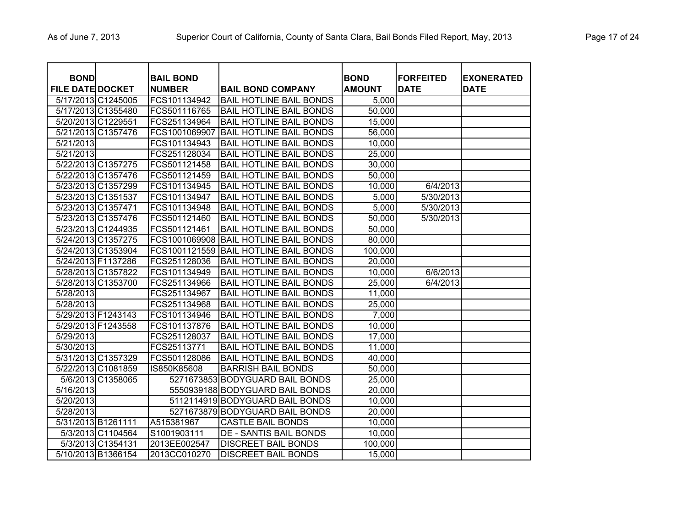| <b>BOND</b>             |                    | <b>BAIL BOND</b> |                                 | <b>BOND</b>   | <b>FORFEITED</b> | <b>EXONERATED</b> |
|-------------------------|--------------------|------------------|---------------------------------|---------------|------------------|-------------------|
| <b>FILE DATE DOCKET</b> |                    | <b>NUMBER</b>    | <b>BAIL BOND COMPANY</b>        | <b>AMOUNT</b> | <b>DATE</b>      | <b>DATE</b>       |
|                         | 5/17/2013 C1245005 | FCS101134942     | <b>BAIL HOTLINE BAIL BONDS</b>  | 5,000         |                  |                   |
|                         | 5/17/2013 C1355480 | FCS501116765     | <b>BAIL HOTLINE BAIL BONDS</b>  | 50,000        |                  |                   |
|                         | 5/20/2013 C1229551 | FCS251134964     | <b>BAIL HOTLINE BAIL BONDS</b>  | 15,000        |                  |                   |
|                         | 5/21/2013 C1357476 | FCS1001069907    | <b>BAIL HOTLINE BAIL BONDS</b>  | 56,000        |                  |                   |
| 5/21/2013               |                    | FCS101134943     | <b>BAIL HOTLINE BAIL BONDS</b>  | 10,000        |                  |                   |
| 5/21/2013               |                    | FCS251128034     | <b>BAIL HOTLINE BAIL BONDS</b>  | 25,000        |                  |                   |
|                         | 5/22/2013 C1357275 | FCS501121458     | <b>BAIL HOTLINE BAIL BONDS</b>  | 30,000        |                  |                   |
|                         | 5/22/2013 C1357476 | FCS501121459     | <b>BAIL HOTLINE BAIL BONDS</b>  | 50,000        |                  |                   |
|                         | 5/23/2013 C1357299 | FCS101134945     | <b>BAIL HOTLINE BAIL BONDS</b>  | 10,000        | 6/4/2013         |                   |
|                         | 5/23/2013 C1351537 | FCS101134947     | <b>BAIL HOTLINE BAIL BONDS</b>  | 5,000         | 5/30/2013        |                   |
|                         | 5/23/2013 C1357471 | FCS101134948     | <b>BAIL HOTLINE BAIL BONDS</b>  | 5,000         | 5/30/2013        |                   |
|                         | 5/23/2013 C1357476 | FCS501121460     | <b>BAIL HOTLINE BAIL BONDS</b>  | 50,000        | 5/30/2013        |                   |
|                         | 5/23/2013 C1244935 | FCS501121461     | <b>BAIL HOTLINE BAIL BONDS</b>  | 50,000        |                  |                   |
|                         | 5/24/2013 C1357275 | FCS1001069908    | <b>BAIL HOTLINE BAIL BONDS</b>  | 80,000        |                  |                   |
|                         | 5/24/2013 C1353904 | FCS1001121559    | <b>BAIL HOTLINE BAIL BONDS</b>  | 100,000       |                  |                   |
|                         | 5/24/2013 F1137286 | FCS251128036     | <b>BAIL HOTLINE BAIL BONDS</b>  | 20,000        |                  |                   |
|                         | 5/28/2013 C1357822 | FCS101134949     | <b>BAIL HOTLINE BAIL BONDS</b>  | 10,000        | 6/6/2013         |                   |
|                         | 5/28/2013 C1353700 | FCS251134966     | <b>BAIL HOTLINE BAIL BONDS</b>  | 25,000        | 6/4/2013         |                   |
| 5/28/2013               |                    | FCS251134967     | <b>BAIL HOTLINE BAIL BONDS</b>  | 11,000        |                  |                   |
| 5/28/2013               |                    | FCS251134968     | <b>BAIL HOTLINE BAIL BONDS</b>  | 25,000        |                  |                   |
|                         | 5/29/2013 F1243143 | FCS101134946     | <b>BAIL HOTLINE BAIL BONDS</b>  | 7,000         |                  |                   |
|                         | 5/29/2013 F1243558 | FCS101137876     | <b>BAIL HOTLINE BAIL BONDS</b>  | 10,000        |                  |                   |
| 5/29/2013               |                    | FCS251128037     | <b>BAIL HOTLINE BAIL BONDS</b>  | 17,000        |                  |                   |
| 5/30/2013               |                    | FCS25113771      | <b>BAIL HOTLINE BAIL BONDS</b>  | 11,000        |                  |                   |
|                         | 5/31/2013 C1357329 | FCS501128086     | <b>BAIL HOTLINE BAIL BONDS</b>  | 40,000        |                  |                   |
|                         | 5/22/2013 C1081859 | IS850K85608      | <b>BARRISH BAIL BONDS</b>       | 50,000        |                  |                   |
|                         | 5/6/2013 C1358065  |                  | 5271673853 BODYGUARD BAIL BONDS | 25,000        |                  |                   |
| 5/16/2013               |                    |                  | 5550939188 BODYGUARD BAIL BONDS | 20,000        |                  |                   |
| 5/20/2013               |                    |                  | 5112114919 BODYGUARD BAIL BONDS | 10,000        |                  |                   |
| 5/28/2013               |                    |                  | 5271673879 BODYGUARD BAIL BONDS | 20,000        |                  |                   |
|                         | 5/31/2013 B1261111 | A515381967       | <b>CASTLE BAIL BONDS</b>        | 10,000        |                  |                   |
|                         | 5/3/2013 C1104564  | S1001903111      | <b>DE - SANTIS BAIL BONDS</b>   | 10,000        |                  |                   |
|                         | 5/3/2013 C1354131  | 2013EE002547     | <b>DISCREET BAIL BONDS</b>      | 100,000       |                  |                   |
|                         | 5/10/2013 B1366154 | 2013CC010270     | <b>DISCREET BAIL BONDS</b>      | 15,000        |                  |                   |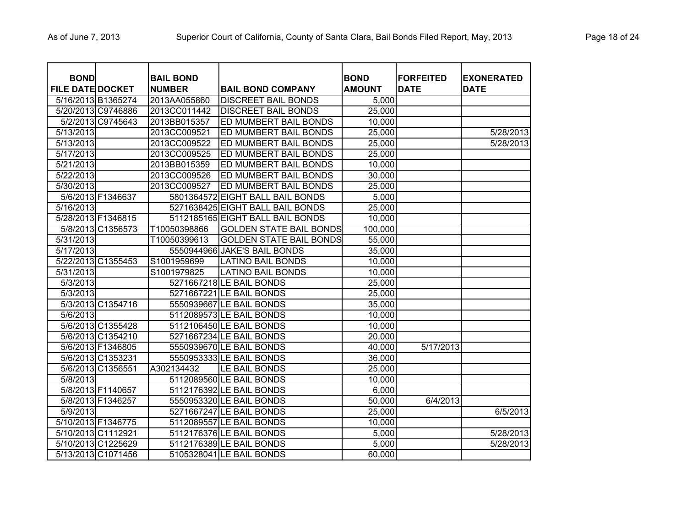| Page 18 of 24 |  |  |  |
|---------------|--|--|--|
|---------------|--|--|--|

| <b>BOND</b>             |                    | <b>BAIL BOND</b> |                                  | <b>BOND</b>   | <b>FORFEITED</b> | <b>EXONERATED</b> |
|-------------------------|--------------------|------------------|----------------------------------|---------------|------------------|-------------------|
| <b>FILE DATE DOCKET</b> |                    | <b>NUMBER</b>    | <b>BAIL BOND COMPANY</b>         | <b>AMOUNT</b> | <b>DATE</b>      | <b>DATE</b>       |
|                         | 5/16/2013 B1365274 | 2013AA055860     | <b>DISCREET BAIL BONDS</b>       | 5,000         |                  |                   |
|                         | 5/20/2013 C9746886 | 2013CC011442     | <b>DISCREET BAIL BONDS</b>       | 25,000        |                  |                   |
|                         | 5/2/2013 C9745643  | 2013BB015357     | ED MUMBERT BAIL BONDS            | 10,000        |                  |                   |
| 5/13/2013               |                    | 2013CC009521     | ED MUMBERT BAIL BONDS            | 25,000        |                  | 5/28/2013         |
| 5/13/2013               |                    | 2013CC009522     | ED MUMBERT BAIL BONDS            | 25,000        |                  | 5/28/2013         |
| 5/17/2013               |                    | 2013CC009525     | ED MUMBERT BAIL BONDS            | 25,000        |                  |                   |
| 5/21/2013               |                    | 2013BB015359     | ED MUMBERT BAIL BONDS            | 10,000        |                  |                   |
| 5/22/2013               |                    | 2013CC009526     | ED MUMBERT BAIL BONDS            | 30,000        |                  |                   |
| 5/30/2013               |                    | 2013CC009527     | ED MUMBERT BAIL BONDS            | 25,000        |                  |                   |
|                         | 5/6/2013 F1346637  |                  | 5801364572 EIGHT BALL BAIL BONDS | 5,000         |                  |                   |
| 5/16/2013               |                    |                  | 5271638425 EIGHT BALL BAIL BONDS | 25,000        |                  |                   |
|                         | 5/28/2013 F1346815 |                  | 5112185165 EIGHT BALL BAIL BONDS | 10,000        |                  |                   |
|                         | 5/8/2013 C1356573  | T10050398866     | <b>GOLDEN STATE BAIL BONDS</b>   | 100,000       |                  |                   |
| 5/31/2013               |                    | T10050399613     | <b>GOLDEN STATE BAIL BONDS</b>   | 55,000        |                  |                   |
| 5/17/2013               |                    |                  | 5550944966 JAKE'S BAIL BONDS     | 35,000        |                  |                   |
|                         | 5/22/2013 C1355453 | S1001959699      | <b>LATINO BAIL BONDS</b>         | 10,000        |                  |                   |
| 5/31/2013               |                    | S1001979825      | <b>LATINO BAIL BONDS</b>         | 10,000        |                  |                   |
| 5/3/2013                |                    |                  | 5271667218 LE BAIL BONDS         | 25,000        |                  |                   |
| 5/3/2013                |                    |                  | 5271667221 LE BAIL BONDS         | 25,000        |                  |                   |
|                         | 5/3/2013 C1354716  |                  | 5550939667 LE BAIL BONDS         | 35,000        |                  |                   |
| 5/6/2013                |                    |                  | 5112089573 LE BAIL BONDS         | 10,000        |                  |                   |
|                         | 5/6/2013 C1355428  |                  | 5112106450 LE BAIL BONDS         | 10,000        |                  |                   |
|                         | 5/6/2013 C1354210  |                  | 5271667234 LE BAIL BONDS         | 20,000        |                  |                   |
|                         | 5/6/2013 F1346805  |                  | 5550939670 LE BAIL BONDS         | 40,000        | 5/17/2013        |                   |
|                         | 5/6/2013 C1353231  |                  | 5550953333 LE BAIL BONDS         | 36,000        |                  |                   |
|                         | 5/6/2013 C1356551  | A302134432       | LE BAIL BONDS                    | 25,000        |                  |                   |
| 5/8/2013                |                    |                  | 5112089560 LE BAIL BONDS         | 10,000        |                  |                   |
|                         | 5/8/2013 F1140657  |                  | 5112176392 LE BAIL BONDS         | 6,000         |                  |                   |
|                         | 5/8/2013 F1346257  |                  | 5550953320 LE BAIL BONDS         | 50,000        | 6/4/2013         |                   |
| 5/9/2013                |                    |                  | 5271667247 LE BAIL BONDS         | 25,000        |                  | 6/5/2013          |
|                         | 5/10/2013 F1346775 |                  | 5112089557 LE BAIL BONDS         | 10,000        |                  |                   |
|                         | 5/10/2013 C1112921 |                  | 5112176376 LE BAIL BONDS         | 5,000         |                  | 5/28/2013         |
|                         | 5/10/2013 C1225629 |                  | 5112176389 LE BAIL BONDS         | 5,000         |                  | 5/28/2013         |
|                         | 5/13/2013 C1071456 |                  | 5105328041 LE BAIL BONDS         | 60,000        |                  |                   |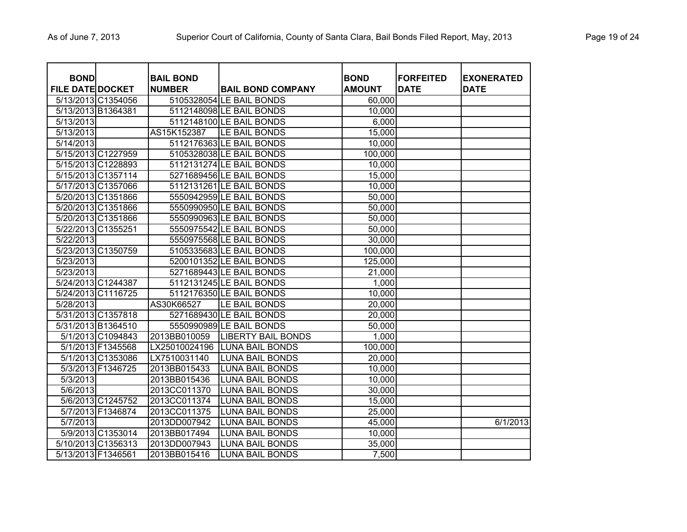| <b>BOND</b>             |                    | <b>BAIL BOND</b> |                           | <b>BOND</b>   | <b>FORFEITED</b> | <b>EXONERATED</b> |
|-------------------------|--------------------|------------------|---------------------------|---------------|------------------|-------------------|
| <b>FILE DATE DOCKET</b> |                    | <b>NUMBER</b>    | <b>BAIL BOND COMPANY</b>  | <b>AMOUNT</b> | <b>DATE</b>      | <b>DATE</b>       |
|                         | 5/13/2013 C1354056 |                  | 5105328054 LE BAIL BONDS  | 60,000        |                  |                   |
| 5/13/2013 B1364381      |                    |                  | 5112148098 LE BAIL BONDS  | 10,000        |                  |                   |
| $\overline{5/13/2013}$  |                    |                  | 5112148100 LE BAIL BONDS  | 6,000         |                  |                   |
| 5/13/2013               |                    | AS15K152387      | LE BAIL BONDS             | 15,000        |                  |                   |
| 5/14/2013               |                    |                  | 5112176363 LE BAIL BONDS  | 10,000        |                  |                   |
|                         | 5/15/2013 C1227959 |                  | 5105328038 LE BAIL BONDS  | 100,000       |                  |                   |
|                         | 5/15/2013 C1228893 |                  | 5112131274 LE BAIL BONDS  | 10,000        |                  |                   |
|                         | 5/15/2013 C1357114 |                  | 5271689456 LE BAIL BONDS  | 15,000        |                  |                   |
| 5/17/2013 C1357066      |                    |                  | 5112131261 LE BAIL BONDS  | 10,000        |                  |                   |
|                         | 5/20/2013 C1351866 |                  | 5550942959 LE BAIL BONDS  | 50,000        |                  |                   |
|                         | 5/20/2013 C1351866 |                  | 5550990950 LE BAIL BONDS  | 50,000        |                  |                   |
|                         | 5/20/2013 C1351866 |                  | 5550990963 LE BAIL BONDS  | 50,000        |                  |                   |
| 5/22/2013 C1355251      |                    |                  | 5550975542 LE BAIL BONDS  | 50,000        |                  |                   |
| 5/22/2013               |                    |                  | 5550975568 LE BAIL BONDS  | 30,000        |                  |                   |
|                         | 5/23/2013 C1350759 |                  | 5105335683 LE BAIL BONDS  | 100,000       |                  |                   |
| 5/23/2013               |                    |                  | 5200101352 LE BAIL BONDS  | 125,000       |                  |                   |
| 5/23/2013               |                    |                  | 5271689443 LE BAIL BONDS  | 21,000        |                  |                   |
|                         | 5/24/2013 C1244387 |                  | 5112131245 LE BAIL BONDS  | 1,000         |                  |                   |
|                         | 5/24/2013 C1116725 |                  | 5112176350 LE BAIL BONDS  | 10,000        |                  |                   |
| 5/28/2013               |                    | AS30K66527       | LE BAIL BONDS             | 20,000        |                  |                   |
|                         | 5/31/2013 C1357818 |                  | 5271689430 LE BAIL BONDS  | 20,000        |                  |                   |
|                         | 5/31/2013 B1364510 |                  | 5550990989 LE BAIL BONDS  | 50,000        |                  |                   |
|                         | 5/1/2013 C1094843  | 2013BB010059     | <b>LIBERTY BAIL BONDS</b> | 1,000         |                  |                   |
|                         | 5/1/2013 F1345568  | LX25010024196    | <b>LUNA BAIL BONDS</b>    | 100,000       |                  |                   |
|                         | 5/1/2013 C1353086  | LX7510031140     | <b>LUNA BAIL BONDS</b>    | 20,000        |                  |                   |
|                         | 5/3/2013 F1346725  | 2013BB015433     | <b>LUNA BAIL BONDS</b>    | 10,000        |                  |                   |
| 5/3/2013                |                    | 2013BB015436     | <b>LUNA BAIL BONDS</b>    | 10,000        |                  |                   |
| 5/6/2013                |                    | 2013CC011370     | <b>LUNA BAIL BONDS</b>    | 30,000        |                  |                   |
|                         | 5/6/2013 C1245752  | 2013CC011374     | <b>LUNA BAIL BONDS</b>    | 15,000        |                  |                   |
|                         | 5/7/2013 F1346874  | 2013CC011375     | <b>LUNA BAIL BONDS</b>    | 25,000        |                  |                   |
| 5/7/2013                |                    | 2013DD007942     | <b>LUNA BAIL BONDS</b>    | 45,000        |                  | 6/1/2013          |
|                         | 5/9/2013 C1353014  | 2013BB017494     | <b>LUNA BAIL BONDS</b>    | 10,000        |                  |                   |
|                         | 5/10/2013 C1356313 | 2013DD007943     | <b>LUNA BAIL BONDS</b>    | 35,000        |                  |                   |
| 5/13/2013 F1346561      |                    | 2013BB015416     | <b>LUNA BAIL BONDS</b>    | 7,500         |                  |                   |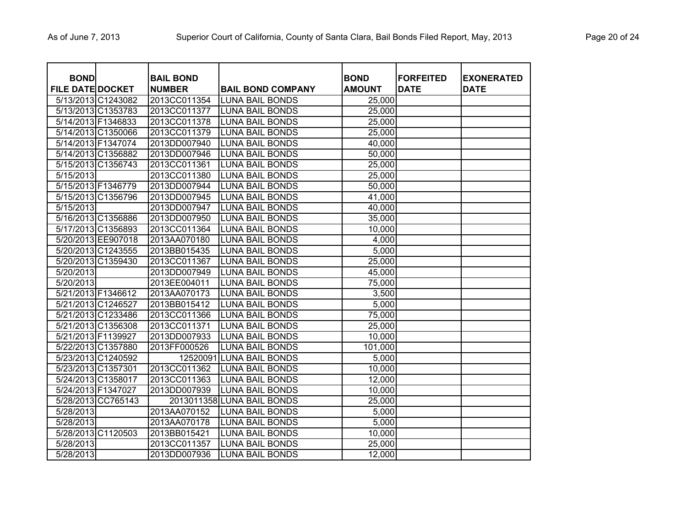| <b>BOND</b><br>FILE DATE DOCKET |                    | <b>BAIL BOND</b><br><b>NUMBER</b> | <b>BAIL BOND COMPANY</b>   | <b>BOND</b><br><b>AMOUNT</b> | <b>FORFEITED</b><br><b>DATE</b> | <b>EXONERATED</b><br><b>DATE</b> |
|---------------------------------|--------------------|-----------------------------------|----------------------------|------------------------------|---------------------------------|----------------------------------|
|                                 | 5/13/2013 C1243082 | 2013CC011354                      | <b>LUNA BAIL BONDS</b>     | 25,000                       |                                 |                                  |
|                                 | 5/13/2013 C1353783 | 2013CC011377                      | <b>LUNA BAIL BONDS</b>     | 25,000                       |                                 |                                  |
|                                 | 5/14/2013 F1346833 | 2013CC011378                      | <b>LUNA BAIL BONDS</b>     | 25,000                       |                                 |                                  |
|                                 | 5/14/2013 C1350066 | 2013CC011379                      | <b>LUNA BAIL BONDS</b>     | 25,000                       |                                 |                                  |
|                                 | 5/14/2013 F1347074 | 2013DD007940                      | <b>LUNA BAIL BONDS</b>     | 40,000                       |                                 |                                  |
|                                 | 5/14/2013 C1356882 | 2013DD007946                      | <b>LUNA BAIL BONDS</b>     | 50,000                       |                                 |                                  |
|                                 | 5/15/2013 C1356743 | 2013CC011361                      | <b>LUNA BAIL BONDS</b>     | 25,000                       |                                 |                                  |
| 5/15/2013                       |                    | 2013CC011380                      | <b>LUNA BAIL BONDS</b>     | 25,000                       |                                 |                                  |
|                                 | 5/15/2013 F1346779 | 2013DD007944                      | <b>LUNA BAIL BONDS</b>     | 50,000                       |                                 |                                  |
|                                 | 5/15/2013 C1356796 | 2013DD007945                      | <b>LUNA BAIL BONDS</b>     | 41,000                       |                                 |                                  |
| $\overline{5/15/2013}$          |                    | 2013DD007947                      | <b>LUNA BAIL BONDS</b>     | 40,000                       |                                 |                                  |
|                                 | 5/16/2013 C1356886 | 2013DD007950                      | <b>LUNA BAIL BONDS</b>     | 35,000                       |                                 |                                  |
|                                 | 5/17/2013 C1356893 | 2013CC011364                      | <b>LUNA BAIL BONDS</b>     | 10,000                       |                                 |                                  |
|                                 | 5/20/2013 EE907018 | 2013AA070180                      | <b>LUNA BAIL BONDS</b>     | 4,000                        |                                 |                                  |
|                                 | 5/20/2013 C1243555 | 2013BB015435                      | <b>LUNA BAIL BONDS</b>     | 5,000                        |                                 |                                  |
|                                 | 5/20/2013 C1359430 | 2013CC011367                      | <b>LUNA BAIL BONDS</b>     | 25,000                       |                                 |                                  |
| 5/20/2013                       |                    | 2013DD007949                      | <b>LUNA BAIL BONDS</b>     | 45,000                       |                                 |                                  |
| 5/20/2013                       |                    | 2013EE004011                      | <b>LUNA BAIL BONDS</b>     | 75,000                       |                                 |                                  |
|                                 | 5/21/2013 F1346612 | 2013AA070173                      | <b>LUNA BAIL BONDS</b>     | 3,500                        |                                 |                                  |
|                                 | 5/21/2013 C1246527 | 2013BB015412                      | <b>LUNA BAIL BONDS</b>     | 5,000                        |                                 |                                  |
|                                 | 5/21/2013 C1233486 | 2013CC011366                      | <b>LUNA BAIL BONDS</b>     | 75,000                       |                                 |                                  |
|                                 | 5/21/2013 C1356308 | 2013CC011371                      | <b>LUNA BAIL BONDS</b>     | 25,000                       |                                 |                                  |
|                                 | 5/21/2013 F1139927 | 2013DD007933                      | <b>LUNA BAIL BONDS</b>     | 10,000                       |                                 |                                  |
|                                 | 5/22/2013 C1357880 | 2013FF000526                      | <b>LUNA BAIL BONDS</b>     | 101,000                      |                                 |                                  |
|                                 | 5/23/2013 C1240592 |                                   | 12520091 LUNA BAIL BONDS   | 5,000                        |                                 |                                  |
|                                 | 5/23/2013 C1357301 | 2013CC011362                      | <b>LUNA BAIL BONDS</b>     | 10,000                       |                                 |                                  |
|                                 | 5/24/2013 C1358017 | 2013CC011363                      | <b>LUNA BAIL BONDS</b>     | 12,000                       |                                 |                                  |
|                                 | 5/24/2013 F1347027 | 2013DD007939                      | <b>LUNA BAIL BONDS</b>     | 10,000                       |                                 |                                  |
|                                 | 5/28/2013 CC765143 |                                   | 2013011358 LUNA BAIL BONDS | 25,000                       |                                 |                                  |
| 5/28/2013                       |                    | 2013AA070152                      | <b>LUNA BAIL BONDS</b>     | 5,000                        |                                 |                                  |
| 5/28/2013                       |                    | 2013AA070178                      | <b>LUNA BAIL BONDS</b>     | 5,000                        |                                 |                                  |
|                                 | 5/28/2013 C1120503 | 2013BB015421                      | <b>LUNA BAIL BONDS</b>     | 10,000                       |                                 |                                  |
| 5/28/2013                       |                    | 2013CC011357                      | <b>LUNA BAIL BONDS</b>     | 25,000                       |                                 |                                  |
| 5/28/2013                       |                    | 2013DD007936                      | <b>ILUNA BAIL BONDS</b>    | 12,000                       |                                 |                                  |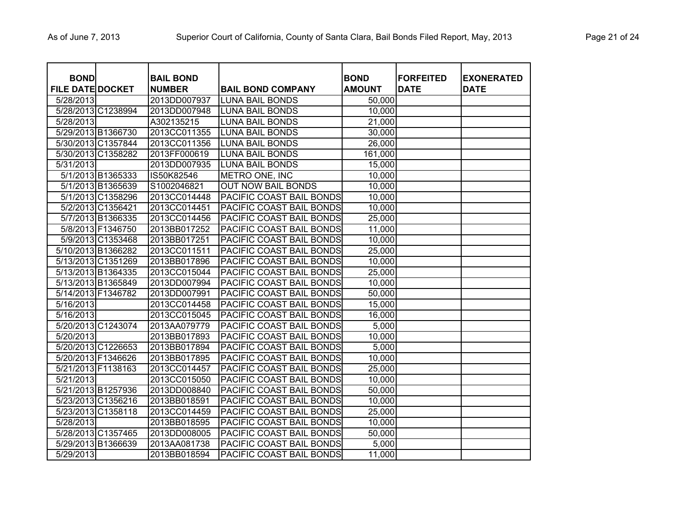| <b>BOND</b>             |                    | <b>BAIL BOND</b> |                           | <b>BOND</b>   | <b>FORFEITED</b> | <b>EXONERATED</b> |
|-------------------------|--------------------|------------------|---------------------------|---------------|------------------|-------------------|
| <b>FILE DATE DOCKET</b> |                    | <b>NUMBER</b>    | <b>BAIL BOND COMPANY</b>  | <b>AMOUNT</b> | <b>DATE</b>      | <b>DATE</b>       |
| 5/28/2013               |                    | 2013DD007937     | <b>LUNA BAIL BONDS</b>    | 50,000        |                  |                   |
|                         | 5/28/2013 C1238994 | 2013DD007948     | <b>LUNA BAIL BONDS</b>    | 10,000        |                  |                   |
| 5/28/2013               |                    | A302135215       | <b>LUNA BAIL BONDS</b>    | 21,000        |                  |                   |
| 5/29/2013 B1366730      |                    | 2013CC011355     | <b>LUNA BAIL BONDS</b>    | 30,000        |                  |                   |
|                         | 5/30/2013 C1357844 | 2013CC011356     | <b>LUNA BAIL BONDS</b>    | 26,000        |                  |                   |
| 5/30/2013 C1358282      |                    | 2013FF000619     | <b>LUNA BAIL BONDS</b>    | 161,000       |                  |                   |
| 5/31/2013               |                    | 2013DD007935     | <b>LUNA BAIL BONDS</b>    | 15,000        |                  |                   |
|                         | 5/1/2013 B1365333  | IS50K82546       | METRO ONE, INC            | 10,000        |                  |                   |
|                         | 5/1/2013 B1365639  | S1002046821      | <b>OUT NOW BAIL BONDS</b> | 10,000        |                  |                   |
|                         | 5/1/2013 C1358296  | 2013CC014448     | PACIFIC COAST BAIL BONDS  | 10,000        |                  |                   |
|                         | 5/2/2013 C1356421  | 2013CC014451     | PACIFIC COAST BAIL BONDS  | 10,000        |                  |                   |
|                         | 5/7/2013 B1366335  | 2013CC014456     | PACIFIC COAST BAIL BONDS  | 25,000        |                  |                   |
|                         | 5/8/2013 F1346750  | 2013BB017252     | PACIFIC COAST BAIL BONDS  | 11,000        |                  |                   |
|                         | 5/9/2013 C1353468  | 2013BB017251     | PACIFIC COAST BAIL BONDS  | 10,000        |                  |                   |
| 5/10/2013 B1366282      |                    | 2013CC011511     | PACIFIC COAST BAIL BONDS  | 25,000        |                  |                   |
| 5/13/2013 C1351269      |                    | 2013BB017896     | PACIFIC COAST BAIL BONDS  | 10,000        |                  |                   |
| 5/13/2013 B1364335      |                    | 2013CC015044     | PACIFIC COAST BAIL BONDS  | 25,000        |                  |                   |
| 5/13/2013 B1365849      |                    | 2013DD007994     | PACIFIC COAST BAIL BONDS  | 10,000        |                  |                   |
| 5/14/2013 F1346782      |                    | 2013DD007991     | PACIFIC COAST BAIL BONDS  | 50,000        |                  |                   |
| 5/16/2013               |                    | 2013CC014458     | PACIFIC COAST BAIL BONDS  | 15,000        |                  |                   |
| 5/16/2013               |                    | 2013CC015045     | PACIFIC COAST BAIL BONDS  | 16,000        |                  |                   |
|                         | 5/20/2013 C1243074 | 2013AA079779     | PACIFIC COAST BAIL BONDS  | 5,000         |                  |                   |
| 5/20/2013               |                    | 2013BB017893     | PACIFIC COAST BAIL BONDS  | 10,000        |                  |                   |
| 5/20/2013 C1226653      |                    | 2013BB017894     | PACIFIC COAST BAIL BONDS  | 5,000         |                  |                   |
| 5/20/2013 F1346626      |                    | 2013BB017895     | PACIFIC COAST BAIL BONDS  | 10,000        |                  |                   |
| 5/21/2013 F1138163      |                    | 2013CC014457     | PACIFIC COAST BAIL BONDS  | 25,000        |                  |                   |
| 5/21/2013               |                    | 2013CC015050     | PACIFIC COAST BAIL BONDS  | 10,000        |                  |                   |
| 5/21/2013 B1257936      |                    | 2013DD008840     | PACIFIC COAST BAIL BONDS  | 50,000        |                  |                   |
| 5/23/2013 C1356216      |                    | 2013BB018591     | PACIFIC COAST BAIL BONDS  | 10,000        |                  |                   |
| 5/23/2013 C1358118      |                    | 2013CC014459     | PACIFIC COAST BAIL BONDS  | 25,000        |                  |                   |
| 5/28/2013               |                    | 2013BB018595     | PACIFIC COAST BAIL BONDS  | 10,000        |                  |                   |
| 5/28/2013 C1357465      |                    | 2013DD008005     | PACIFIC COAST BAIL BONDS  | 50,000        |                  |                   |
| 5/29/2013 B1366639      |                    | 2013AA081738     | PACIFIC COAST BAIL BONDS  | 5,000         |                  |                   |
| 5/29/2013               |                    | 2013BB018594     | PACIFIC COAST BAIL BONDS  | 11,000        |                  |                   |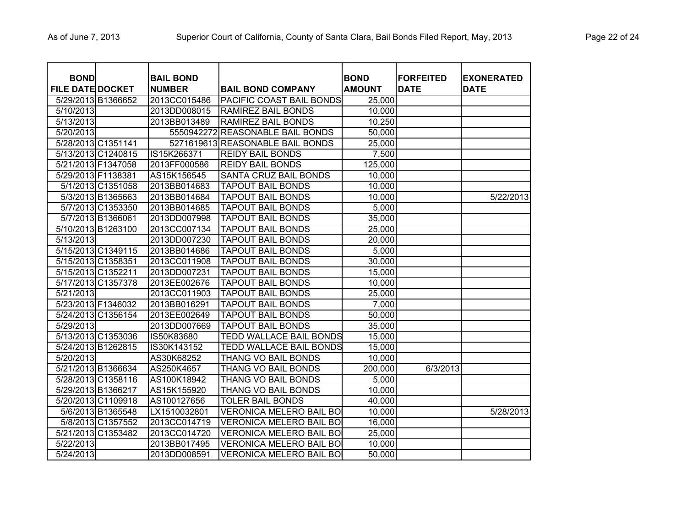| <b>BOND</b><br><b>FILE DATE DOCKET</b> |                    | <b>BAIL BOND</b><br><b>NUMBER</b> | <b>BAIL BOND COMPANY</b>         | <b>BOND</b><br><b>AMOUNT</b> | <b>FORFEITED</b><br><b>DATE</b> | <b>EXONERATED</b><br><b>DATE</b> |
|----------------------------------------|--------------------|-----------------------------------|----------------------------------|------------------------------|---------------------------------|----------------------------------|
| 5/29/2013 B1366652                     |                    | 2013CC015486                      | PACIFIC COAST BAIL BONDS         | 25,000                       |                                 |                                  |
| 5/10/2013                              |                    | 2013DD008015                      | <b>RAMIREZ BAIL BONDS</b>        | 10,000                       |                                 |                                  |
| $\overline{5/13/2013}$                 |                    | 2013BB013489                      | RAMIREZ BAIL BONDS               | 10,250                       |                                 |                                  |
| 5/20/2013                              |                    |                                   | 5550942272 REASONABLE BAIL BONDS | 50,000                       |                                 |                                  |
| 5/28/2013 C1351141                     |                    |                                   | 5271619613 REASONABLE BAIL BONDS | 25,000                       |                                 |                                  |
|                                        | 5/13/2013 C1240815 | IS15K266371                       | <b>REIDY BAIL BONDS</b>          | 7,500                        |                                 |                                  |
| 5/21/2013 F1347058                     |                    | 2013FF000586                      | <b>REIDY BAIL BONDS</b>          | 125,000                      |                                 |                                  |
| 5/29/2013 F1138381                     |                    | AS15K156545                       | SANTA CRUZ BAIL BONDS            | 10,000                       |                                 |                                  |
|                                        | 5/1/2013 C1351058  | 2013BB014683                      | <b>TAPOUT BAIL BONDS</b>         | 10,000                       |                                 |                                  |
|                                        | 5/3/2013 B1365663  | 2013BB014684                      | <b>TAPOUT BAIL BONDS</b>         | 10,000                       |                                 | 5/22/2013                        |
|                                        | 5/7/2013 C1353350  | 2013BB014685                      | TAPOUT BAIL BONDS                | 5,000                        |                                 |                                  |
|                                        | 5/7/2013 B1366061  | 2013DD007998                      | <b>TAPOUT BAIL BONDS</b>         | 35,000                       |                                 |                                  |
| 5/10/2013 B1263100                     |                    | 2013CC007134                      | TAPOUT BAIL BONDS                | 25,000                       |                                 |                                  |
| 5/13/2013                              |                    | 2013DD007230                      | TAPOUT BAIL BONDS                | 20,000                       |                                 |                                  |
|                                        | 5/15/2013 C1349115 | 2013BB014686                      | <b>TAPOUT BAIL BONDS</b>         | 5,000                        |                                 |                                  |
| 5/15/2013 C1358351                     |                    | 2013CC011908                      | TAPOUT BAIL BONDS                | 30,000                       |                                 |                                  |
| 5/15/2013 C1352211                     |                    | 2013DD007231                      | TAPOUT BAIL BONDS                | 15,000                       |                                 |                                  |
| 5/17/2013 C1357378                     |                    | 2013EE002676                      | <b>TAPOUT BAIL BONDS</b>         | 10,000                       |                                 |                                  |
| 5/21/2013                              |                    | 2013CC011903                      | TAPOUT BAIL BONDS                | 25,000                       |                                 |                                  |
| 5/23/2013 F1346032                     |                    | 2013BB016291                      | <b>TAPOUT BAIL BONDS</b>         | 7,000                        |                                 |                                  |
| 5/24/2013 C1356154                     |                    | 2013EE002649                      | TAPOUT BAIL BONDS                | 50,000                       |                                 |                                  |
| 5/29/2013                              |                    | 2013DD007669                      | <b>TAPOUT BAIL BONDS</b>         | 35,000                       |                                 |                                  |
|                                        | 5/13/2013 C1353036 | IS50K83680                        | <b>TEDD WALLACE BAIL BONDS</b>   | 15,000                       |                                 |                                  |
| 5/24/2013 B1262815                     |                    | IS30K143152                       | <b>TEDD WALLACE BAIL BONDS</b>   | 15,000                       |                                 |                                  |
| 5/20/2013                              |                    | AS30K68252                        | <b>THANG VO BAIL BONDS</b>       | 10,000                       |                                 |                                  |
| 5/21/2013 B1366634                     |                    | AS250K4657                        | <b>THANG VO BAIL BONDS</b>       | 200,000                      | 6/3/2013                        |                                  |
| 5/28/2013 C1358116                     |                    | AS100K18942                       | <b>THANG VO BAIL BONDS</b>       | 5,000                        |                                 |                                  |
| 5/29/2013 B1366217                     |                    | AS15K155920                       | <b>THANG VO BAIL BONDS</b>       | 10,000                       |                                 |                                  |
|                                        | 5/20/2013 C1109918 | AS100127656                       | <b>TOLER BAIL BONDS</b>          | 40,000                       |                                 |                                  |
|                                        | 5/6/2013 B1365548  | LX1510032801                      | <b>VERONICA MELERO BAIL BO</b>   | 10,000                       |                                 | 5/28/2013                        |
|                                        | 5/8/2013 C1357552  | 2013CC014719                      | <b>VERONICA MELERO BAIL BO</b>   | 16,000                       |                                 |                                  |
| 5/21/2013 C1353482                     |                    | 2013CC014720                      | <b>VERONICA MELERO BAIL BO</b>   | 25,000                       |                                 |                                  |
| 5/22/2013                              |                    | 2013BB017495                      | <b>VERONICA MELERO BAIL BO</b>   | 10,000                       |                                 |                                  |
| 5/24/2013                              |                    | 2013DD008591                      | <b>VERONICA MELERO BAIL BO</b>   | 50,000                       |                                 |                                  |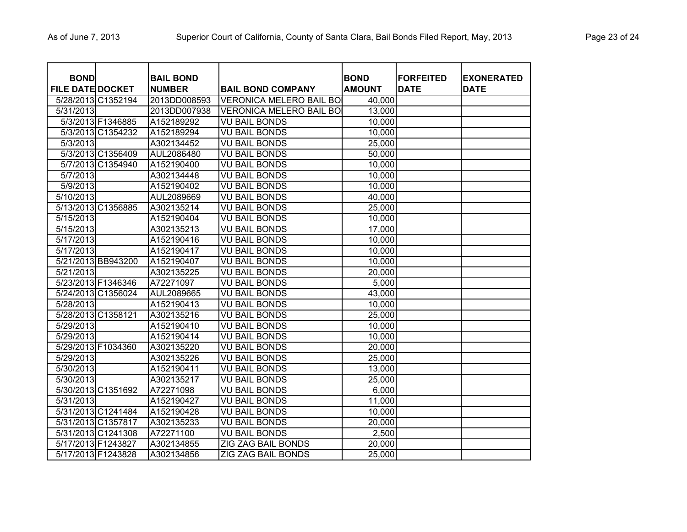| <b>BOND</b><br><b>FILE DATE DOCKET</b> |                    | <b>BAIL BOND</b><br><b>NUMBER</b> | <b>BAIL BOND COMPANY</b>       | <b>BOND</b><br><b>AMOUNT</b> | <b>FORFEITED</b><br><b>DATE</b> | <b>EXONERATED</b><br><b>DATE</b> |
|----------------------------------------|--------------------|-----------------------------------|--------------------------------|------------------------------|---------------------------------|----------------------------------|
|                                        | 5/28/2013 C1352194 | 2013DD008593                      | <b>VERONICA MELERO BAIL BO</b> | 40,000                       |                                 |                                  |
| 5/31/2013                              |                    | 2013DD007938                      | <b>VERONICA MELERO BAIL BO</b> | 13,000                       |                                 |                                  |
|                                        | 5/3/2013 F1346885  | A152189292                        | <b>VU BAIL BONDS</b>           | 10,000                       |                                 |                                  |
|                                        | 5/3/2013 C1354232  | A152189294                        | <b>VU BAIL BONDS</b>           | 10,000                       |                                 |                                  |
| $\sqrt{5/3/2013}$                      |                    | A302134452                        | <b>VU BAIL BONDS</b>           | 25,000                       |                                 |                                  |
|                                        | 5/3/2013 C1356409  | AUL2086480                        | <b>VU BAIL BONDS</b>           | 50,000                       |                                 |                                  |
|                                        | 5/7/2013 C1354940  | A152190400                        | <b>VU BAIL BONDS</b>           | 10,000                       |                                 |                                  |
| $\overline{5/7/2013}$                  |                    | A302134448                        | <b>VU BAIL BONDS</b>           | 10,000                       |                                 |                                  |
| 5/9/2013                               |                    | A152190402                        | <b>VU BAIL BONDS</b>           | 10,000                       |                                 |                                  |
| 5/10/2013                              |                    | AUL2089669                        | <b>VU BAIL BONDS</b>           | 40,000                       |                                 |                                  |
|                                        | 5/13/2013 C1356885 | A302135214                        | <b>VU BAIL BONDS</b>           | 25,000                       |                                 |                                  |
| 5/15/2013                              |                    | A152190404                        | <b>VU BAIL BONDS</b>           | 10,000                       |                                 |                                  |
| 5/15/2013                              |                    | A302135213                        | <b>VU BAIL BONDS</b>           | 17,000                       |                                 |                                  |
| 5/17/2013                              |                    | A152190416                        | <b>VU BAIL BONDS</b>           | 10,000                       |                                 |                                  |
| 5/17/2013                              |                    | A152190417                        | <b>VU BAIL BONDS</b>           | 10,000                       |                                 |                                  |
|                                        | 5/21/2013 BB943200 | A152190407                        | <b>VU BAIL BONDS</b>           | 10,000                       |                                 |                                  |
| 5/21/2013                              |                    | A302135225                        | <b>VU BAIL BONDS</b>           | 20,000                       |                                 |                                  |
| 5/23/2013 F1346346                     |                    | A72271097                         | <b>VU BAIL BONDS</b>           | 5,000                        |                                 |                                  |
|                                        | 5/24/2013 C1356024 | AUL2089665                        | <b>VU BAIL BONDS</b>           | 43,000                       |                                 |                                  |
| $\overline{5/28/2013}$                 |                    | A152190413                        | <b>VU BAIL BONDS</b>           | 10,000                       |                                 |                                  |
| 5/28/2013 C1358121                     |                    | A302135216                        | <b>VU BAIL BONDS</b>           | 25,000                       |                                 |                                  |
| 5/29/2013                              |                    | A152190410                        | <b>VU BAIL BONDS</b>           | 10,000                       |                                 |                                  |
| 5/29/2013                              |                    | A152190414                        | <b>VU BAIL BONDS</b>           | 10,000                       |                                 |                                  |
| 5/29/2013 F1034360                     |                    | A302135220                        | <b>VU BAIL BONDS</b>           | 20,000                       |                                 |                                  |
| 5/29/2013                              |                    | A302135226                        | <b>VU BAIL BONDS</b>           | 25,000                       |                                 |                                  |
| 5/30/2013                              |                    | A152190411                        | <b>VU BAIL BONDS</b>           | 13,000                       |                                 |                                  |
| 5/30/2013                              |                    | A302135217                        | <b>VU BAIL BONDS</b>           | 25,000                       |                                 |                                  |
|                                        | 5/30/2013 C1351692 | A72271098                         | <b>VU BAIL BONDS</b>           | 6,000                        |                                 |                                  |
| 5/31/2013                              |                    | A152190427                        | <b>VU BAIL BONDS</b>           | 11,000                       |                                 |                                  |
|                                        | 5/31/2013 C1241484 | A152190428                        | <b>VU BAIL BONDS</b>           | 10,000                       |                                 |                                  |
|                                        | 5/31/2013 C1357817 | A302135233                        | <b>VU BAIL BONDS</b>           | 20,000                       |                                 |                                  |
|                                        | 5/31/2013 C1241308 | A72271100                         | <b>VU BAIL BONDS</b>           | 2,500                        |                                 |                                  |
| 5/17/2013 F1243827                     |                    | A302134855                        | ZIG ZAG BAIL BONDS             | 20,000                       |                                 |                                  |
| 5/17/2013 F1243828                     |                    | A302134856                        | ZIG ZAG BAIL BONDS             | 25,000                       |                                 |                                  |